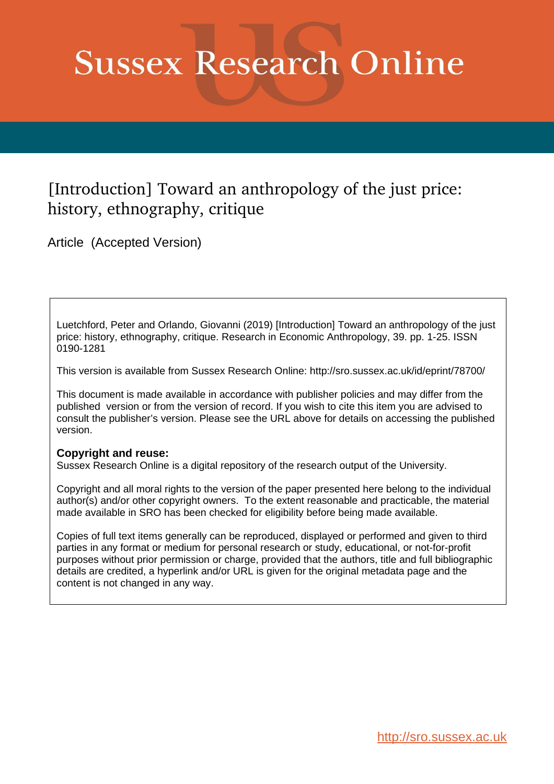# **Sussex Research Online**

## [Introduction] Toward an anthropology of the just price: history, ethnography, critique

Article (Accepted Version)

Luetchford, Peter and Orlando, Giovanni (2019) [Introduction] Toward an anthropology of the just price: history, ethnography, critique. Research in Economic Anthropology, 39. pp. 1-25. ISSN 0190-1281

This version is available from Sussex Research Online: http://sro.sussex.ac.uk/id/eprint/78700/

This document is made available in accordance with publisher policies and may differ from the published version or from the version of record. If you wish to cite this item you are advised to consult the publisher's version. Please see the URL above for details on accessing the published version.

#### **Copyright and reuse:**

Sussex Research Online is a digital repository of the research output of the University.

Copyright and all moral rights to the version of the paper presented here belong to the individual author(s) and/or other copyright owners. To the extent reasonable and practicable, the material made available in SRO has been checked for eligibility before being made available.

Copies of full text items generally can be reproduced, displayed or performed and given to third parties in any format or medium for personal research or study, educational, or not-for-profit purposes without prior permission or charge, provided that the authors, title and full bibliographic details are credited, a hyperlink and/or URL is given for the original metadata page and the content is not changed in any way.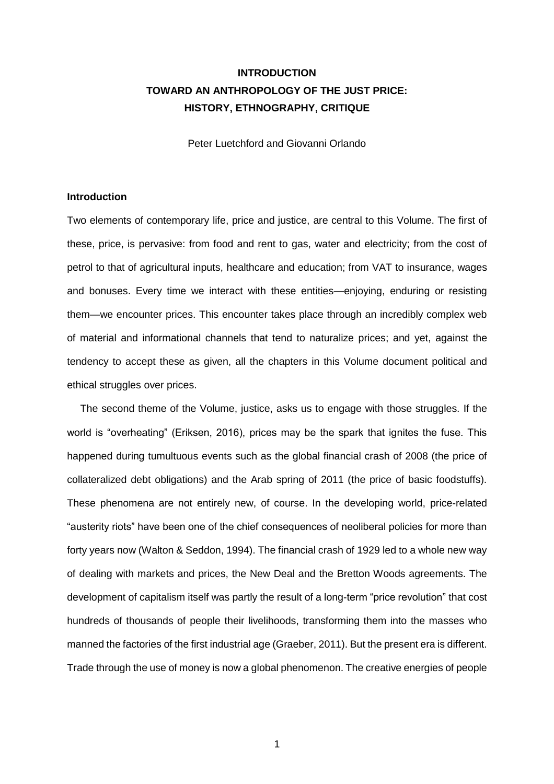### **INTRODUCTION TOWARD AN ANTHROPOLOGY OF THE JUST PRICE: HISTORY, ETHNOGRAPHY, CRITIQUE**

Peter Luetchford and Giovanni Orlando

#### **Introduction**

Two elements of contemporary life, price and justice, are central to this Volume. The first of these, price, is pervasive: from food and rent to gas, water and electricity; from the cost of petrol to that of agricultural inputs, healthcare and education; from VAT to insurance, wages and bonuses. Every time we interact with these entities—enjoying, enduring or resisting them—we encounter prices. This encounter takes place through an incredibly complex web of material and informational channels that tend to naturalize prices; and yet, against the tendency to accept these as given, all the chapters in this Volume document political and ethical struggles over prices.

The second theme of the Volume, justice, asks us to engage with those struggles. If the world is "overheating" (Eriksen, 2016), prices may be the spark that ignites the fuse. This happened during tumultuous events such as the global financial crash of 2008 (the price of collateralized debt obligations) and the Arab spring of 2011 (the price of basic foodstuffs). These phenomena are not entirely new, of course. In the developing world, price-related "austerity riots" have been one of the chief consequences of neoliberal policies for more than forty years now (Walton & Seddon, 1994). The financial crash of 1929 led to a whole new way of dealing with markets and prices, the New Deal and the Bretton Woods agreements. The development of capitalism itself was partly the result of a long-term "price revolution" that cost hundreds of thousands of people their livelihoods, transforming them into the masses who manned the factories of the first industrial age (Graeber, 2011). But the present era is different. Trade through the use of money is now a global phenomenon. The creative energies of people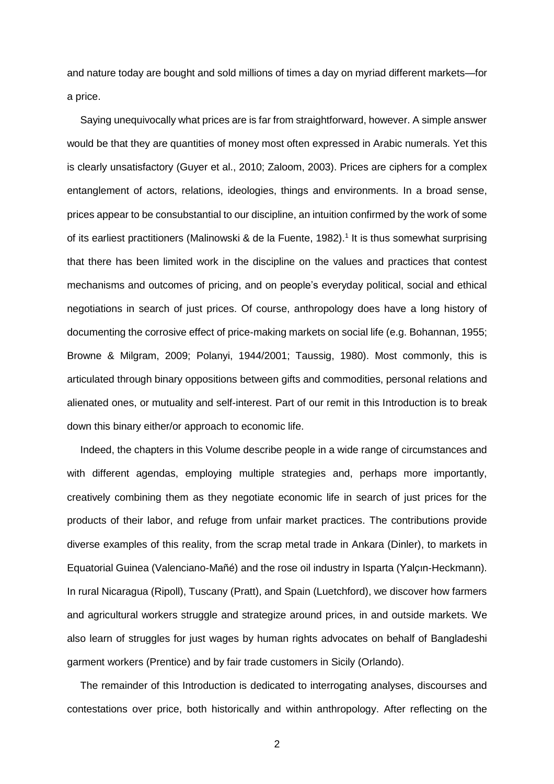and nature today are bought and sold millions of times a day on myriad different markets—for a price.

Saying unequivocally what prices are is far from straightforward, however. A simple answer would be that they are quantities of money most often expressed in Arabic numerals. Yet this is clearly unsatisfactory (Guyer et al., 2010; Zaloom, 2003). Prices are ciphers for a complex entanglement of actors, relations, ideologies, things and environments. In a broad sense, prices appear to be consubstantial to our discipline, an intuition confirmed by the work of some of its earliest practitioners (Malinowski & de la Fuente, 1982).<sup>1</sup> It is thus somewhat surprising that there has been limited work in the discipline on the values and practices that contest mechanisms and outcomes of pricing, and on people's everyday political, social and ethical negotiations in search of just prices. Of course, anthropology does have a long history of documenting the corrosive effect of price-making markets on social life (e.g. Bohannan, 1955; Browne & Milgram, 2009; Polanyi, 1944/2001; Taussig, 1980). Most commonly, this is articulated through binary oppositions between gifts and commodities, personal relations and alienated ones, or mutuality and self-interest. Part of our remit in this Introduction is to break down this binary either/or approach to economic life.

Indeed, the chapters in this Volume describe people in a wide range of circumstances and with different agendas, employing multiple strategies and, perhaps more importantly, creatively combining them as they negotiate economic life in search of just prices for the products of their labor, and refuge from unfair market practices. The contributions provide diverse examples of this reality, from the scrap metal trade in Ankara (Dinler), to markets in Equatorial Guinea (Valenciano-Mañé) and the rose oil industry in Isparta (Yalçın-Heckmann). In rural Nicaragua (Ripoll), Tuscany (Pratt), and Spain (Luetchford), we discover how farmers and agricultural workers struggle and strategize around prices, in and outside markets. We also learn of struggles for just wages by human rights advocates on behalf of Bangladeshi garment workers (Prentice) and by fair trade customers in Sicily (Orlando).

The remainder of this Introduction is dedicated to interrogating analyses, discourses and contestations over price, both historically and within anthropology. After reflecting on the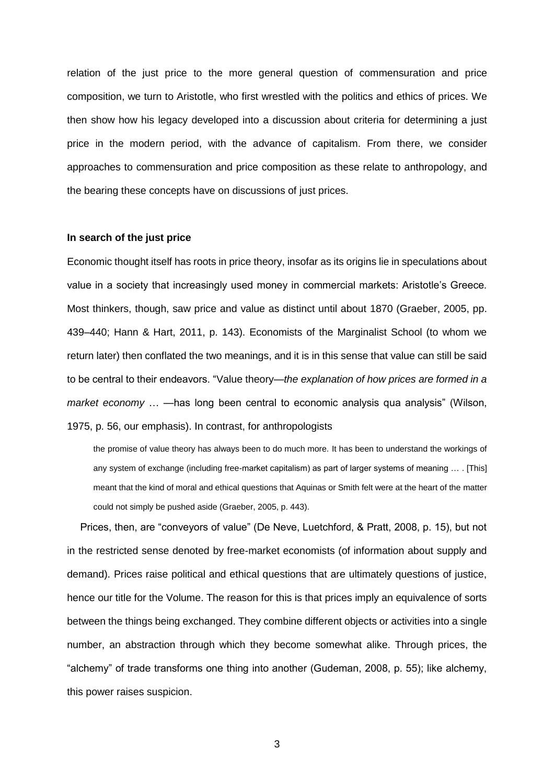relation of the just price to the more general question of commensuration and price composition, we turn to Aristotle, who first wrestled with the politics and ethics of prices. We then show how his legacy developed into a discussion about criteria for determining a just price in the modern period, with the advance of capitalism. From there, we consider approaches to commensuration and price composition as these relate to anthropology, and the bearing these concepts have on discussions of just prices.

#### **In search of the just price**

Economic thought itself has roots in price theory, insofar as its origins lie in speculations about value in a society that increasingly used money in commercial markets: Aristotle's Greece. Most thinkers, though, saw price and value as distinct until about 1870 (Graeber, 2005, pp. 439–440; Hann & Hart, 2011, p. 143). Economists of the Marginalist School (to whom we return later) then conflated the two meanings, and it is in this sense that value can still be said to be central to their endeavors. "Value theory—*the explanation of how prices are formed in a market economy* … —has long been central to economic analysis qua analysis" (Wilson, 1975, p. 56, our emphasis). In contrast, for anthropologists

the promise of value theory has always been to do much more. It has been to understand the workings of any system of exchange (including free-market capitalism) as part of larger systems of meaning … . [This] meant that the kind of moral and ethical questions that Aquinas or Smith felt were at the heart of the matter could not simply be pushed aside (Graeber, 2005, p. 443).

Prices, then, are "conveyors of value" (De Neve, Luetchford, & Pratt, 2008, p. 15), but not in the restricted sense denoted by free-market economists (of information about supply and demand). Prices raise political and ethical questions that are ultimately questions of justice, hence our title for the Volume. The reason for this is that prices imply an equivalence of sorts between the things being exchanged. They combine different objects or activities into a single number, an abstraction through which they become somewhat alike. Through prices, the "alchemy" of trade transforms one thing into another (Gudeman, 2008, p. 55); like alchemy, this power raises suspicion.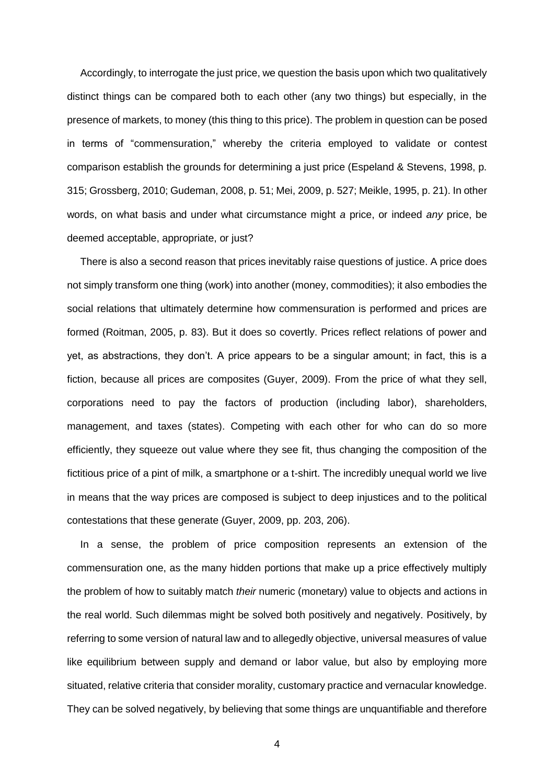Accordingly, to interrogate the just price, we question the basis upon which two qualitatively distinct things can be compared both to each other (any two things) but especially, in the presence of markets, to money (this thing to this price). The problem in question can be posed in terms of "commensuration," whereby the criteria employed to validate or contest comparison establish the grounds for determining a just price (Espeland & Stevens, 1998, p. 315; Grossberg, 2010; Gudeman, 2008, p. 51; Mei, 2009, p. 527; Meikle, 1995, p. 21). In other words, on what basis and under what circumstance might *a* price, or indeed *any* price, be deemed acceptable, appropriate, or just?

There is also a second reason that prices inevitably raise questions of justice. A price does not simply transform one thing (work) into another (money, commodities); it also embodies the social relations that ultimately determine how commensuration is performed and prices are formed (Roitman, 2005, p. 83). But it does so covertly. Prices reflect relations of power and yet, as abstractions, they don't. A price appears to be a singular amount; in fact, this is a fiction, because all prices are composites (Guyer, 2009). From the price of what they sell, corporations need to pay the factors of production (including labor), shareholders, management, and taxes (states). Competing with each other for who can do so more efficiently, they squeeze out value where they see fit, thus changing the composition of the fictitious price of a pint of milk, a smartphone or a t-shirt. The incredibly unequal world we live in means that the way prices are composed is subject to deep injustices and to the political contestations that these generate (Guyer, 2009, pp. 203, 206).

In a sense, the problem of price composition represents an extension of the commensuration one, as the many hidden portions that make up a price effectively multiply the problem of how to suitably match *their* numeric (monetary) value to objects and actions in the real world. Such dilemmas might be solved both positively and negatively. Positively, by referring to some version of natural law and to allegedly objective, universal measures of value like equilibrium between supply and demand or labor value, but also by employing more situated, relative criteria that consider morality, customary practice and vernacular knowledge. They can be solved negatively, by believing that some things are unquantifiable and therefore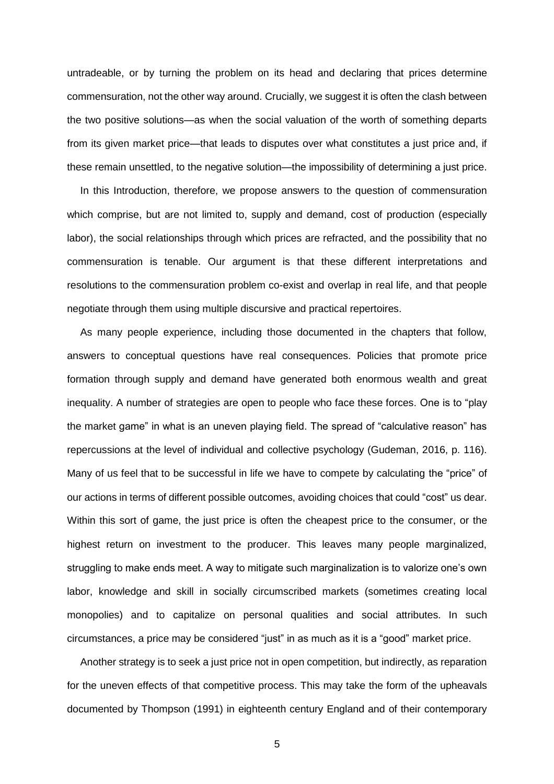untradeable, or by turning the problem on its head and declaring that prices determine commensuration, not the other way around. Crucially, we suggest it is often the clash between the two positive solutions—as when the social valuation of the worth of something departs from its given market price—that leads to disputes over what constitutes a just price and, if these remain unsettled, to the negative solution—the impossibility of determining a just price.

In this Introduction, therefore, we propose answers to the question of commensuration which comprise, but are not limited to, supply and demand, cost of production (especially labor), the social relationships through which prices are refracted, and the possibility that no commensuration is tenable. Our argument is that these different interpretations and resolutions to the commensuration problem co-exist and overlap in real life, and that people negotiate through them using multiple discursive and practical repertoires.

As many people experience, including those documented in the chapters that follow, answers to conceptual questions have real consequences. Policies that promote price formation through supply and demand have generated both enormous wealth and great inequality. A number of strategies are open to people who face these forces. One is to "play the market game" in what is an uneven playing field. The spread of "calculative reason" has repercussions at the level of individual and collective psychology (Gudeman, 2016, p. 116). Many of us feel that to be successful in life we have to compete by calculating the "price" of our actions in terms of different possible outcomes, avoiding choices that could "cost" us dear. Within this sort of game, the just price is often the cheapest price to the consumer, or the highest return on investment to the producer. This leaves many people marginalized, struggling to make ends meet. A way to mitigate such marginalization is to valorize one's own labor, knowledge and skill in socially circumscribed markets (sometimes creating local monopolies) and to capitalize on personal qualities and social attributes. In such circumstances, a price may be considered "just" in as much as it is a "good" market price.

Another strategy is to seek a just price not in open competition, but indirectly, as reparation for the uneven effects of that competitive process. This may take the form of the upheavals documented by Thompson (1991) in eighteenth century England and of their contemporary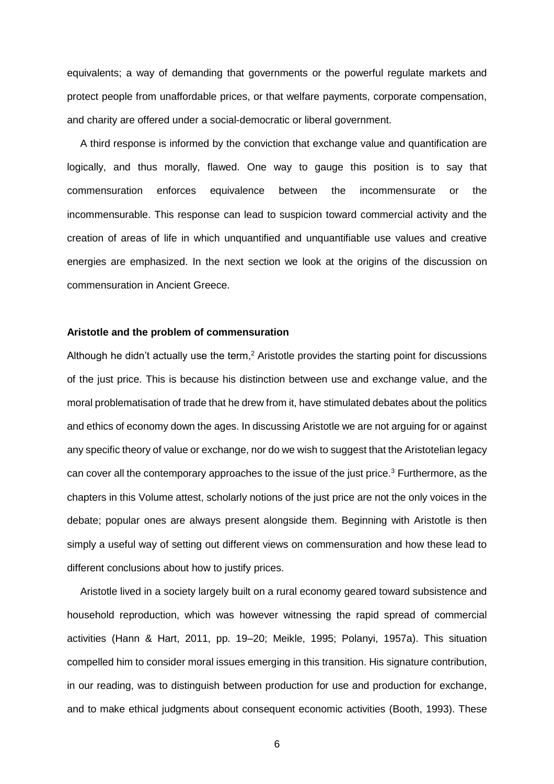equivalents; a way of demanding that governments or the powerful regulate markets and protect people from unaffordable prices, or that welfare payments, corporate compensation, and charity are offered under a social-democratic or liberal government.

A third response is informed by the conviction that exchange value and quantification are logically, and thus morally, flawed. One way to gauge this position is to say that commensuration enforces equivalence between the incommensurate or the incommensurable. This response can lead to suspicion toward commercial activity and the creation of areas of life in which unquantified and unquantifiable use values and creative energies are emphasized. In the next section we look at the origins of the discussion on commensuration in Ancient Greece.

#### **Aristotle and the problem of commensuration**

Although he didn't actually use the term,<sup>2</sup> Aristotle provides the starting point for discussions of the just price. This is because his distinction between use and exchange value, and the moral problematisation of trade that he drew from it, have stimulated debates about the politics and ethics of economy down the ages. In discussing Aristotle we are not arguing for or against any specific theory of value or exchange, nor do we wish to suggest that the Aristotelian legacy can cover all the contemporary approaches to the issue of the just price.<sup>3</sup> Furthermore, as the chapters in this Volume attest, scholarly notions of the just price are not the only voices in the debate; popular ones are always present alongside them. Beginning with Aristotle is then simply a useful way of setting out different views on commensuration and how these lead to different conclusions about how to justify prices.

Aristotle lived in a society largely built on a rural economy geared toward subsistence and household reproduction, which was however witnessing the rapid spread of commercial activities (Hann & Hart, 2011, pp. 19–20; Meikle, 1995; Polanyi, 1957a). This situation compelled him to consider moral issues emerging in this transition. His signature contribution, in our reading, was to distinguish between production for use and production for exchange, and to make ethical judgments about consequent economic activities (Booth, 1993). These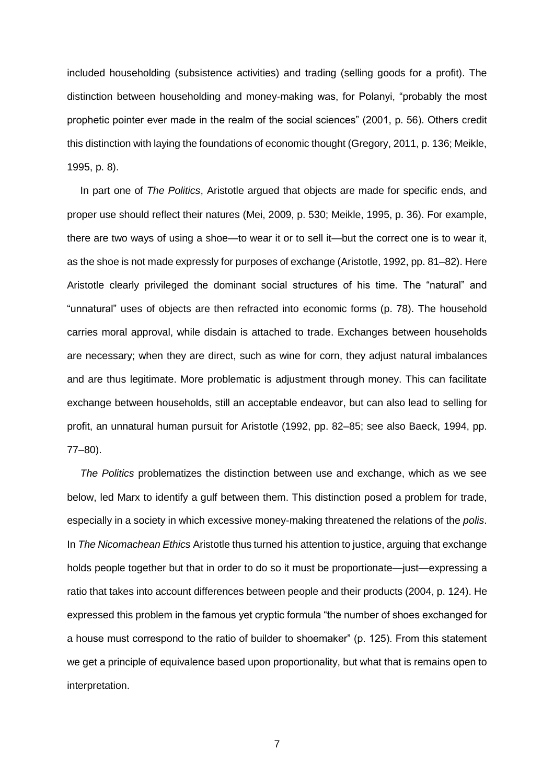included householding (subsistence activities) and trading (selling goods for a profit). The distinction between householding and money-making was, for Polanyi, "probably the most prophetic pointer ever made in the realm of the social sciences" (2001, p. 56). Others credit this distinction with laying the foundations of economic thought (Gregory, 2011, p. 136; Meikle, 1995, p. 8).

In part one of *The Politics*, Aristotle argued that objects are made for specific ends, and proper use should reflect their natures (Mei, 2009, p. 530; Meikle, 1995, p. 36). For example, there are two ways of using a shoe—to wear it or to sell it—but the correct one is to wear it, as the shoe is not made expressly for purposes of exchange (Aristotle, 1992, pp. 81–82). Here Aristotle clearly privileged the dominant social structures of his time. The "natural" and "unnatural" uses of objects are then refracted into economic forms (p. 78). The household carries moral approval, while disdain is attached to trade. Exchanges between households are necessary; when they are direct, such as wine for corn, they adjust natural imbalances and are thus legitimate. More problematic is adjustment through money. This can facilitate exchange between households, still an acceptable endeavor, but can also lead to selling for profit, an unnatural human pursuit for Aristotle (1992, pp. 82–85; see also Baeck, 1994, pp. 77–80).

*The Politics* problematizes the distinction between use and exchange, which as we see below, led Marx to identify a gulf between them. This distinction posed a problem for trade, especially in a society in which excessive money-making threatened the relations of the *polis*. In *The Nicomachean Ethics* Aristotle thus turned his attention to justice, arguing that exchange holds people together but that in order to do so it must be proportionate—just—expressing a ratio that takes into account differences between people and their products (2004, p. 124). He expressed this problem in the famous yet cryptic formula "the number of shoes exchanged for a house must correspond to the ratio of builder to shoemaker" (p. 125). From this statement we get a principle of equivalence based upon proportionality, but what that is remains open to interpretation.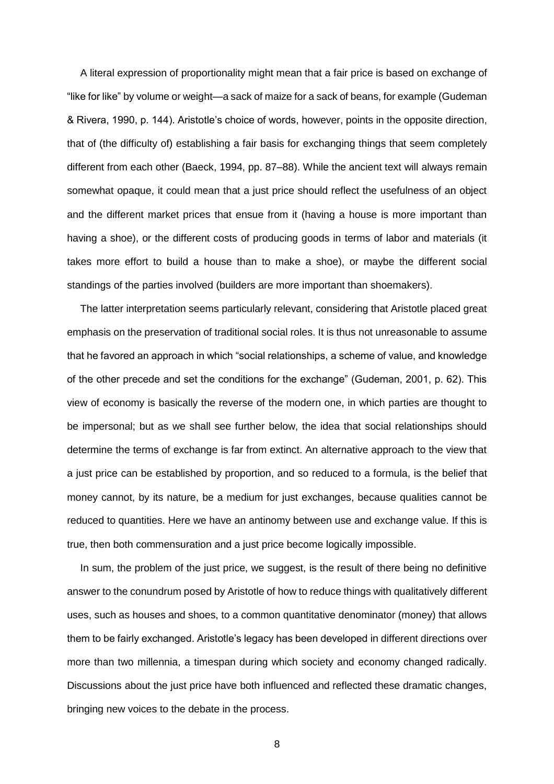A literal expression of proportionality might mean that a fair price is based on exchange of "like for like" by volume or weight—a sack of maize for a sack of beans, for example (Gudeman & Rivera, 1990, p. 144). Aristotle's choice of words, however, points in the opposite direction, that of (the difficulty of) establishing a fair basis for exchanging things that seem completely different from each other (Baeck, 1994, pp. 87–88). While the ancient text will always remain somewhat opaque, it could mean that a just price should reflect the usefulness of an object and the different market prices that ensue from it (having a house is more important than having a shoe), or the different costs of producing goods in terms of labor and materials (it takes more effort to build a house than to make a shoe), or maybe the different social standings of the parties involved (builders are more important than shoemakers).

The latter interpretation seems particularly relevant, considering that Aristotle placed great emphasis on the preservation of traditional social roles. It is thus not unreasonable to assume that he favored an approach in which "social relationships, a scheme of value, and knowledge of the other precede and set the conditions for the exchange" (Gudeman, 2001, p. 62). This view of economy is basically the reverse of the modern one, in which parties are thought to be impersonal; but as we shall see further below, the idea that social relationships should determine the terms of exchange is far from extinct. An alternative approach to the view that a just price can be established by proportion, and so reduced to a formula, is the belief that money cannot, by its nature, be a medium for just exchanges, because qualities cannot be reduced to quantities. Here we have an antinomy between use and exchange value. If this is true, then both commensuration and a just price become logically impossible.

In sum, the problem of the just price, we suggest, is the result of there being no definitive answer to the conundrum posed by Aristotle of how to reduce things with qualitatively different uses, such as houses and shoes, to a common quantitative denominator (money) that allows them to be fairly exchanged. Aristotle's legacy has been developed in different directions over more than two millennia, a timespan during which society and economy changed radically. Discussions about the just price have both influenced and reflected these dramatic changes, bringing new voices to the debate in the process.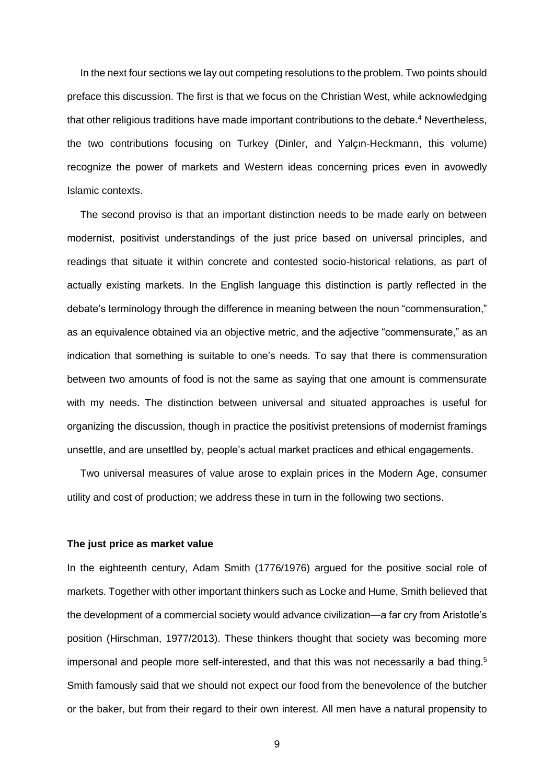In the next four sections we lay out competing resolutions to the problem. Two points should preface this discussion. The first is that we focus on the Christian West, while acknowledging that other religious traditions have made important contributions to the debate.<sup>4</sup> Nevertheless, the two contributions focusing on Turkey (Dinler, and Yalçın-Heckmann, this volume) recognize the power of markets and Western ideas concerning prices even in avowedly Islamic contexts.

The second proviso is that an important distinction needs to be made early on between modernist, positivist understandings of the just price based on universal principles, and readings that situate it within concrete and contested socio-historical relations, as part of actually existing markets. In the English language this distinction is partly reflected in the debate's terminology through the difference in meaning between the noun "commensuration," as an equivalence obtained via an objective metric, and the adjective "commensurate," as an indication that something is suitable to one's needs. To say that there is commensuration between two amounts of food is not the same as saying that one amount is commensurate with my needs. The distinction between universal and situated approaches is useful for organizing the discussion, though in practice the positivist pretensions of modernist framings unsettle, and are unsettled by, people's actual market practices and ethical engagements.

Two universal measures of value arose to explain prices in the Modern Age, consumer utility and cost of production; we address these in turn in the following two sections.

#### **The just price as market value**

In the eighteenth century, Adam Smith (1776/1976) argued for the positive social role of markets. Together with other important thinkers such as Locke and Hume, Smith believed that the development of a commercial society would advance civilization—a far cry from Aristotle's position (Hirschman, 1977/2013). These thinkers thought that society was becoming more impersonal and people more self-interested, and that this was not necessarily a bad thing.<sup>5</sup> Smith famously said that we should not expect our food from the benevolence of the butcher or the baker, but from their regard to their own interest. All men have a natural propensity to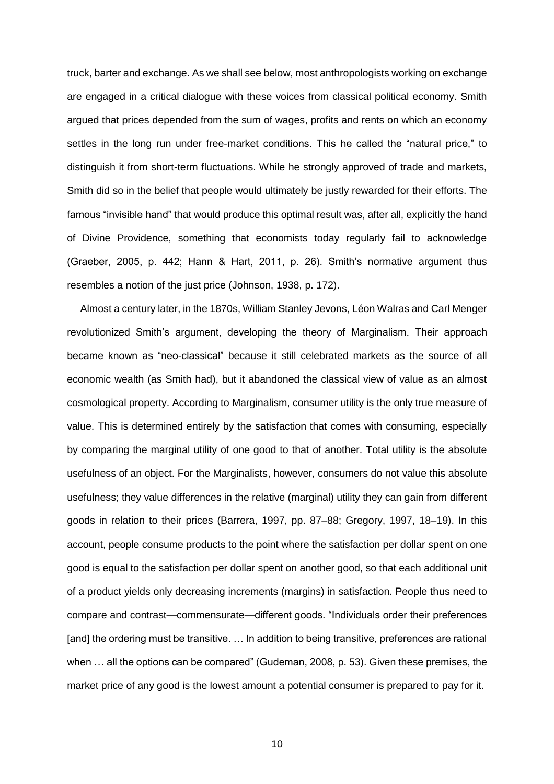truck, barter and exchange. As we shall see below, most anthropologists working on exchange are engaged in a critical dialogue with these voices from classical political economy. Smith argued that prices depended from the sum of wages, profits and rents on which an economy settles in the long run under free-market conditions. This he called the "natural price," to distinguish it from short-term fluctuations. While he strongly approved of trade and markets, Smith did so in the belief that people would ultimately be justly rewarded for their efforts. The famous "invisible hand" that would produce this optimal result was, after all, explicitly the hand of Divine Providence, something that economists today regularly fail to acknowledge (Graeber, 2005, p. 442; Hann & Hart, 2011, p. 26). Smith's normative argument thus resembles a notion of the just price (Johnson, 1938, p. 172).

Almost a century later, in the 1870s, William Stanley Jevons, Léon Walras and Carl Menger revolutionized Smith's argument, developing the theory of Marginalism. Their approach became known as "neo-classical" because it still celebrated markets as the source of all economic wealth (as Smith had), but it abandoned the classical view of value as an almost cosmological property. According to Marginalism, consumer utility is the only true measure of value. This is determined entirely by the satisfaction that comes with consuming, especially by comparing the marginal utility of one good to that of another. Total utility is the absolute usefulness of an object. For the Marginalists, however, consumers do not value this absolute usefulness; they value differences in the relative (marginal) utility they can gain from different goods in relation to their prices (Barrera, 1997, pp. 87–88; Gregory, 1997, 18–19). In this account, people consume products to the point where the satisfaction per dollar spent on one good is equal to the satisfaction per dollar spent on another good, so that each additional unit of a product yields only decreasing increments (margins) in satisfaction. People thus need to compare and contrast—commensurate—different goods. "Individuals order their preferences [and] the ordering must be transitive. ... In addition to being transitive, preferences are rational when … all the options can be compared" (Gudeman, 2008, p. 53). Given these premises, the market price of any good is the lowest amount a potential consumer is prepared to pay for it.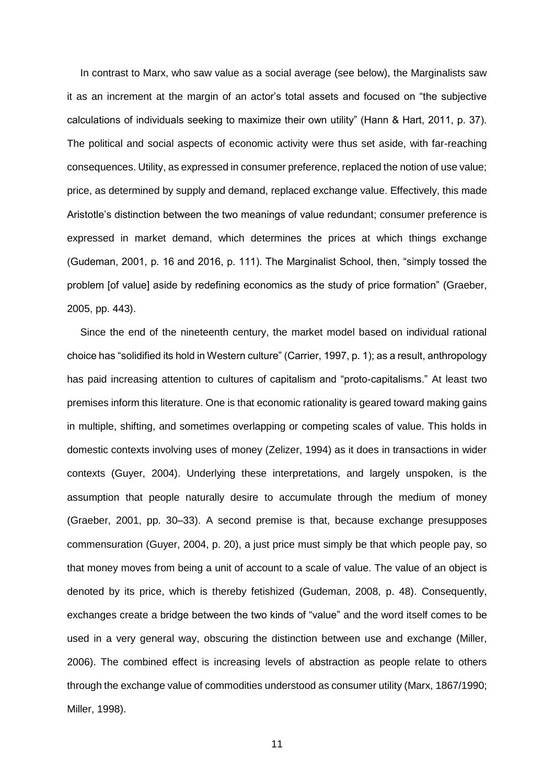In contrast to Marx, who saw value as a social average (see below), the Marginalists saw it as an increment at the margin of an actor's total assets and focused on "the subjective calculations of individuals seeking to maximize their own utility" (Hann & Hart, 2011, p. 37). The political and social aspects of economic activity were thus set aside, with far-reaching consequences. Utility, as expressed in consumer preference, replaced the notion of use value; price, as determined by supply and demand, replaced exchange value. Effectively, this made Aristotle's distinction between the two meanings of value redundant; consumer preference is expressed in market demand, which determines the prices at which things exchange (Gudeman, 2001, p. 16 and 2016, p. 111). The Marginalist School, then, "simply tossed the problem [of value] aside by redefining economics as the study of price formation" (Graeber, 2005, pp. 443).

Since the end of the nineteenth century, the market model based on individual rational choice has "solidified its hold in Western culture" (Carrier, 1997, p. 1); as a result, anthropology has paid increasing attention to cultures of capitalism and "proto-capitalisms." At least two premises inform this literature. One is that economic rationality is geared toward making gains in multiple, shifting, and sometimes overlapping or competing scales of value. This holds in domestic contexts involving uses of money (Zelizer, 1994) as it does in transactions in wider contexts (Guyer, 2004). Underlying these interpretations, and largely unspoken, is the assumption that people naturally desire to accumulate through the medium of money (Graeber, 2001, pp. 30–33). A second premise is that, because exchange presupposes commensuration (Guyer, 2004, p. 20), a just price must simply be that which people pay, so that money moves from being a unit of account to a scale of value. The value of an object is denoted by its price, which is thereby fetishized (Gudeman, 2008, p. 48). Consequently, exchanges create a bridge between the two kinds of "value" and the word itself comes to be used in a very general way, obscuring the distinction between use and exchange (Miller, 2006). The combined effect is increasing levels of abstraction as people relate to others through the exchange value of commodities understood as consumer utility (Marx, 1867/1990; Miller, 1998).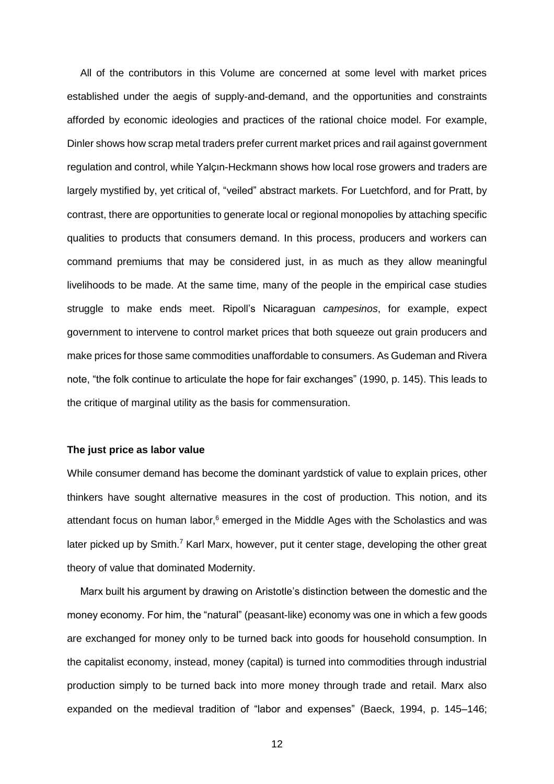All of the contributors in this Volume are concerned at some level with market prices established under the aegis of supply-and-demand, and the opportunities and constraints afforded by economic ideologies and practices of the rational choice model. For example, Dinler shows how scrap metal traders prefer current market prices and rail against government regulation and control, while Yalçın-Heckmann shows how local rose growers and traders are largely mystified by, yet critical of, "veiled" abstract markets. For Luetchford, and for Pratt, by contrast, there are opportunities to generate local or regional monopolies by attaching specific qualities to products that consumers demand. In this process, producers and workers can command premiums that may be considered just, in as much as they allow meaningful livelihoods to be made. At the same time, many of the people in the empirical case studies struggle to make ends meet. Ripoll's Nicaraguan *campesinos*, for example, expect government to intervene to control market prices that both squeeze out grain producers and make prices for those same commodities unaffordable to consumers. As Gudeman and Rivera note, "the folk continue to articulate the hope for fair exchanges" (1990, p. 145). This leads to the critique of marginal utility as the basis for commensuration.

#### **The just price as labor value**

While consumer demand has become the dominant yardstick of value to explain prices, other thinkers have sought alternative measures in the cost of production. This notion, and its attendant focus on human labor, $6$  emerged in the Middle Ages with the Scholastics and was later picked up by Smith.<sup>7</sup> Karl Marx, however, put it center stage, developing the other great theory of value that dominated Modernity.

Marx built his argument by drawing on Aristotle's distinction between the domestic and the money economy. For him, the "natural" (peasant-like) economy was one in which a few goods are exchanged for money only to be turned back into goods for household consumption. In the capitalist economy, instead, money (capital) is turned into commodities through industrial production simply to be turned back into more money through trade and retail. Marx also expanded on the medieval tradition of "labor and expenses" (Baeck, 1994, p. 145–146;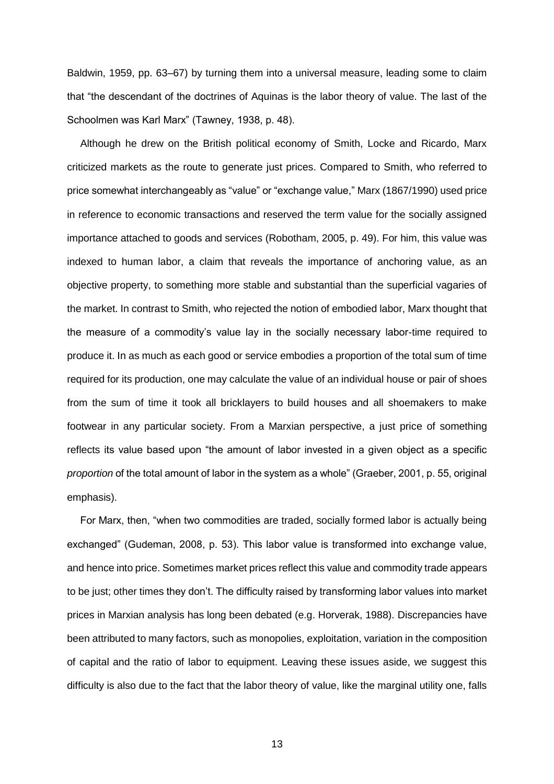Baldwin, 1959, pp. 63–67) by turning them into a universal measure, leading some to claim that "the descendant of the doctrines of Aquinas is the labor theory of value. The last of the Schoolmen was Karl Marx" (Tawney, 1938, p. 48).

Although he drew on the British political economy of Smith, Locke and Ricardo, Marx criticized markets as the route to generate just prices. Compared to Smith, who referred to price somewhat interchangeably as "value" or "exchange value," Marx (1867/1990) used price in reference to economic transactions and reserved the term value for the socially assigned importance attached to goods and services (Robotham, 2005, p. 49). For him, this value was indexed to human labor, a claim that reveals the importance of anchoring value, as an objective property, to something more stable and substantial than the superficial vagaries of the market. In contrast to Smith, who rejected the notion of embodied labor, Marx thought that the measure of a commodity's value lay in the socially necessary labor-time required to produce it. In as much as each good or service embodies a proportion of the total sum of time required for its production, one may calculate the value of an individual house or pair of shoes from the sum of time it took all bricklayers to build houses and all shoemakers to make footwear in any particular society. From a Marxian perspective, a just price of something reflects its value based upon "the amount of labor invested in a given object as a specific *proportion* of the total amount of labor in the system as a whole" (Graeber, 2001, p. 55, original emphasis).

For Marx, then, "when two commodities are traded, socially formed labor is actually being exchanged" (Gudeman, 2008, p. 53). This labor value is transformed into exchange value, and hence into price. Sometimes market prices reflect this value and commodity trade appears to be just; other times they don't. The difficulty raised by transforming labor values into market prices in Marxian analysis has long been debated (e.g. Horverak, 1988). Discrepancies have been attributed to many factors, such as monopolies, exploitation, variation in the composition of capital and the ratio of labor to equipment. Leaving these issues aside, we suggest this difficulty is also due to the fact that the labor theory of value, like the marginal utility one, falls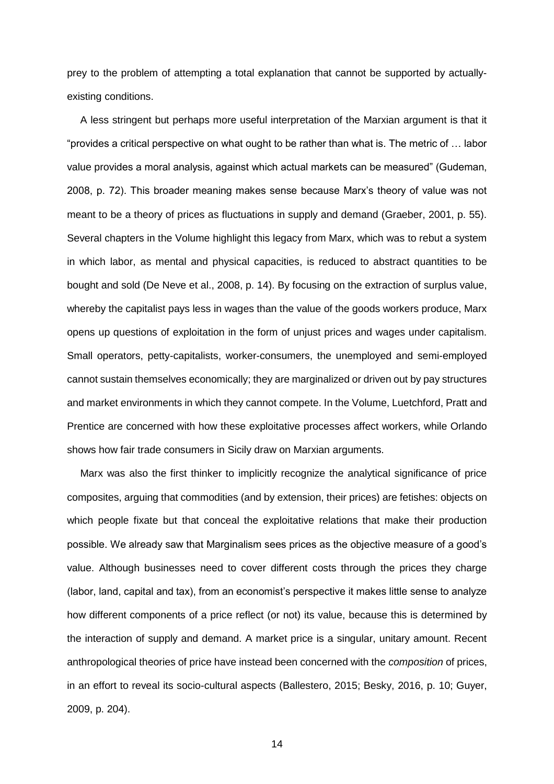prey to the problem of attempting a total explanation that cannot be supported by actuallyexisting conditions.

A less stringent but perhaps more useful interpretation of the Marxian argument is that it "provides a critical perspective on what ought to be rather than what is. The metric of … labor value provides a moral analysis, against which actual markets can be measured" (Gudeman, 2008, p. 72). This broader meaning makes sense because Marx's theory of value was not meant to be a theory of prices as fluctuations in supply and demand (Graeber, 2001, p. 55). Several chapters in the Volume highlight this legacy from Marx, which was to rebut a system in which labor, as mental and physical capacities, is reduced to abstract quantities to be bought and sold (De Neve et al., 2008, p. 14). By focusing on the extraction of surplus value, whereby the capitalist pays less in wages than the value of the goods workers produce, Marx opens up questions of exploitation in the form of unjust prices and wages under capitalism. Small operators, petty-capitalists, worker-consumers, the unemployed and semi-employed cannot sustain themselves economically; they are marginalized or driven out by pay structures and market environments in which they cannot compete. In the Volume, Luetchford, Pratt and Prentice are concerned with how these exploitative processes affect workers, while Orlando shows how fair trade consumers in Sicily draw on Marxian arguments.

Marx was also the first thinker to implicitly recognize the analytical significance of price composites, arguing that commodities (and by extension, their prices) are fetishes: objects on which people fixate but that conceal the exploitative relations that make their production possible. We already saw that Marginalism sees prices as the objective measure of a good's value. Although businesses need to cover different costs through the prices they charge (labor, land, capital and tax), from an economist's perspective it makes little sense to analyze how different components of a price reflect (or not) its value, because this is determined by the interaction of supply and demand. A market price is a singular, unitary amount. Recent anthropological theories of price have instead been concerned with the *composition* of prices, in an effort to reveal its socio-cultural aspects (Ballestero, 2015; Besky, 2016, p. 10; Guyer, 2009, p. 204).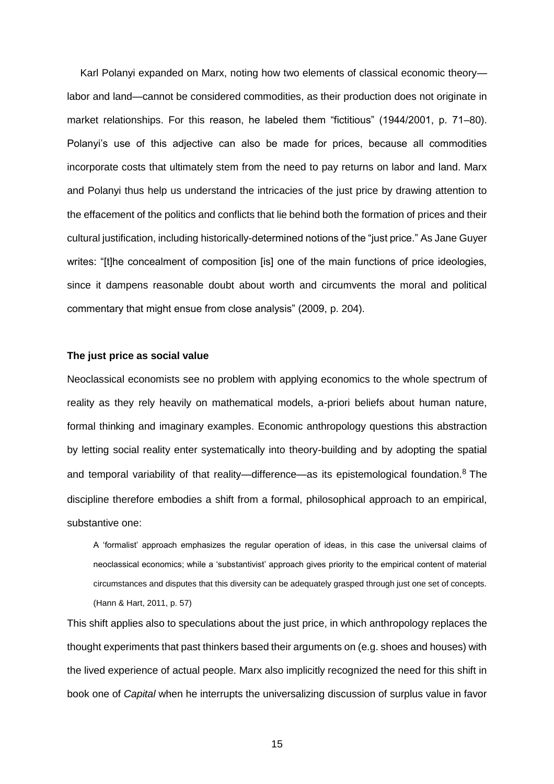Karl Polanyi expanded on Marx, noting how two elements of classical economic theory labor and land—cannot be considered commodities, as their production does not originate in market relationships. For this reason, he labeled them "fictitious" (1944/2001, p. 71–80). Polanyi's use of this adjective can also be made for prices, because all commodities incorporate costs that ultimately stem from the need to pay returns on labor and land. Marx and Polanyi thus help us understand the intricacies of the just price by drawing attention to the effacement of the politics and conflicts that lie behind both the formation of prices and their cultural justification, including historically-determined notions of the "just price." As Jane Guyer writes: "[t]he concealment of composition [is] one of the main functions of price ideologies, since it dampens reasonable doubt about worth and circumvents the moral and political commentary that might ensue from close analysis" (2009, p. 204).

#### **The just price as social value**

Neoclassical economists see no problem with applying economics to the whole spectrum of reality as they rely heavily on mathematical models, a-priori beliefs about human nature, formal thinking and imaginary examples. Economic anthropology questions this abstraction by letting social reality enter systematically into theory-building and by adopting the spatial and temporal variability of that reality—difference—as its epistemological foundation.<sup>8</sup> The discipline therefore embodies a shift from a formal, philosophical approach to an empirical, substantive one:

A 'formalist' approach emphasizes the regular operation of ideas, in this case the universal claims of neoclassical economics; while a 'substantivist' approach gives priority to the empirical content of material circumstances and disputes that this diversity can be adequately grasped through just one set of concepts. (Hann & Hart, 2011, p. 57)

This shift applies also to speculations about the just price, in which anthropology replaces the thought experiments that past thinkers based their arguments on (e.g. shoes and houses) with the lived experience of actual people. Marx also implicitly recognized the need for this shift in book one of *Capital* when he interrupts the universalizing discussion of surplus value in favor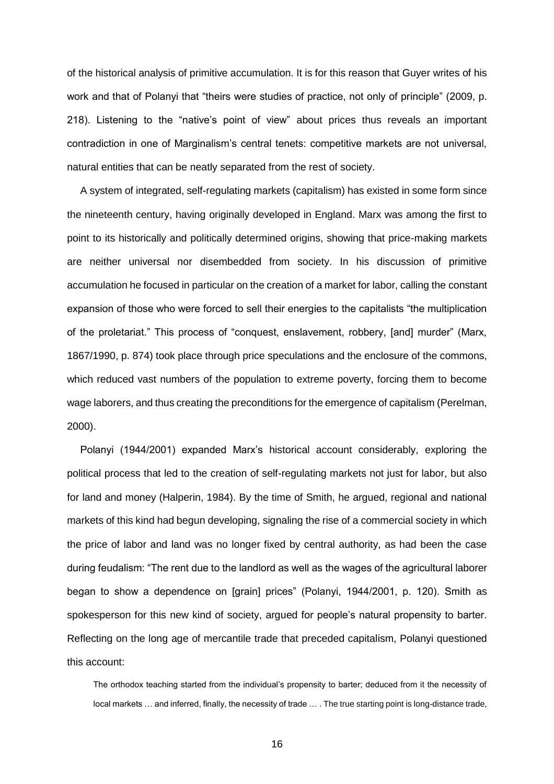of the historical analysis of primitive accumulation. It is for this reason that Guyer writes of his work and that of Polanyi that "theirs were studies of practice, not only of principle" (2009, p. 218). Listening to the "native's point of view" about prices thus reveals an important contradiction in one of Marginalism's central tenets: competitive markets are not universal, natural entities that can be neatly separated from the rest of society.

A system of integrated, self-regulating markets (capitalism) has existed in some form since the nineteenth century, having originally developed in England. Marx was among the first to point to its historically and politically determined origins, showing that price-making markets are neither universal nor disembedded from society. In his discussion of primitive accumulation he focused in particular on the creation of a market for labor, calling the constant expansion of those who were forced to sell their energies to the capitalists "the multiplication of the proletariat." This process of "conquest, enslavement, robbery, [and] murder" (Marx, 1867/1990, p. 874) took place through price speculations and the enclosure of the commons, which reduced vast numbers of the population to extreme poverty, forcing them to become wage laborers, and thus creating the preconditions for the emergence of capitalism (Perelman, 2000).

Polanyi (1944/2001) expanded Marx's historical account considerably, exploring the political process that led to the creation of self-regulating markets not just for labor, but also for land and money (Halperin, 1984). By the time of Smith, he argued, regional and national markets of this kind had begun developing, signaling the rise of a commercial society in which the price of labor and land was no longer fixed by central authority, as had been the case during feudalism: "The rent due to the landlord as well as the wages of the agricultural laborer began to show a dependence on [grain] prices" (Polanyi, 1944/2001, p. 120). Smith as spokesperson for this new kind of society, argued for people's natural propensity to barter. Reflecting on the long age of mercantile trade that preceded capitalism, Polanyi questioned this account:

The orthodox teaching started from the individual's propensity to barter; deduced from it the necessity of local markets … and inferred, finally, the necessity of trade … . The true starting point is long-distance trade,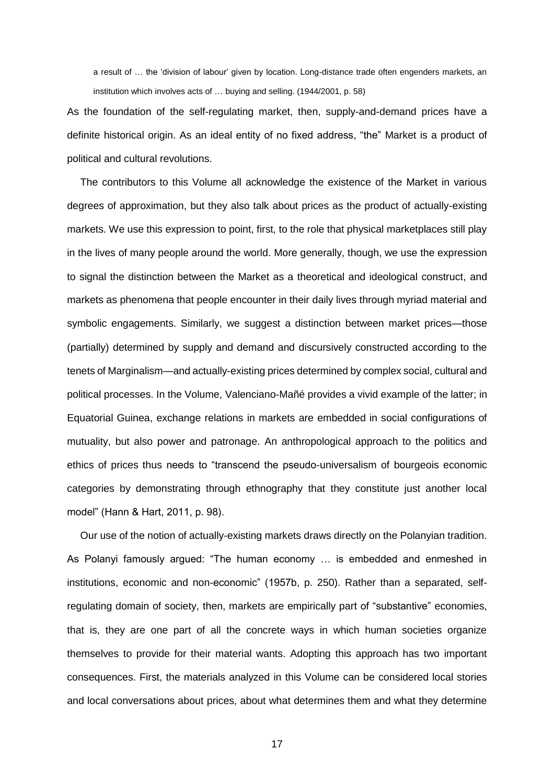a result of … the 'division of labour' given by location. Long-distance trade often engenders markets, an institution which involves acts of … buying and selling. (1944/2001, p. 58)

As the foundation of the self-regulating market, then, supply-and-demand prices have a definite historical origin. As an ideal entity of no fixed address, "the" Market is a product of political and cultural revolutions.

The contributors to this Volume all acknowledge the existence of the Market in various degrees of approximation, but they also talk about prices as the product of actually-existing markets. We use this expression to point, first, to the role that physical marketplaces still play in the lives of many people around the world. More generally, though, we use the expression to signal the distinction between the Market as a theoretical and ideological construct, and markets as phenomena that people encounter in their daily lives through myriad material and symbolic engagements. Similarly, we suggest a distinction between market prices—those (partially) determined by supply and demand and discursively constructed according to the tenets of Marginalism—and actually-existing prices determined by complex social, cultural and political processes. In the Volume, Valenciano-Mañé provides a vivid example of the latter; in Equatorial Guinea, exchange relations in markets are embedded in social configurations of mutuality, but also power and patronage. An anthropological approach to the politics and ethics of prices thus needs to "transcend the pseudo-universalism of bourgeois economic categories by demonstrating through ethnography that they constitute just another local model" (Hann & Hart, 2011, p. 98).

Our use of the notion of actually-existing markets draws directly on the Polanyian tradition. As Polanyi famously argued: "The human economy … is embedded and enmeshed in institutions, economic and non-economic" (1957b, p. 250). Rather than a separated, selfregulating domain of society, then, markets are empirically part of "substantive" economies, that is, they are one part of all the concrete ways in which human societies organize themselves to provide for their material wants. Adopting this approach has two important consequences. First, the materials analyzed in this Volume can be considered local stories and local conversations about prices, about what determines them and what they determine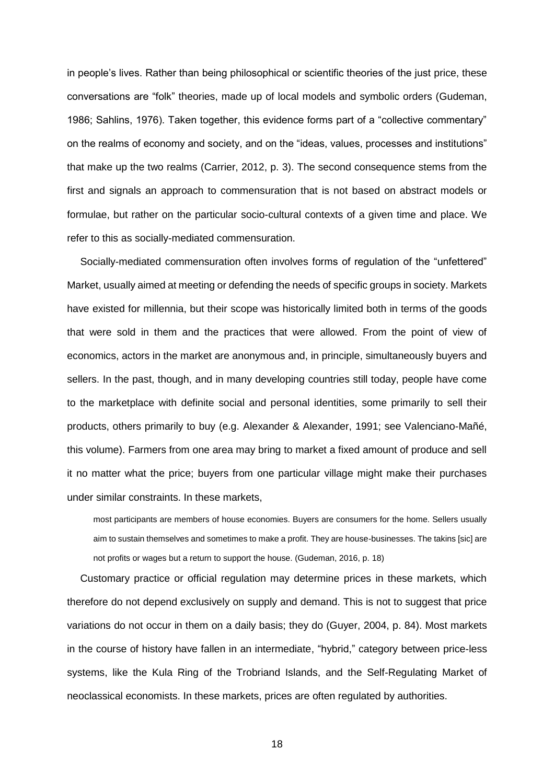in people's lives. Rather than being philosophical or scientific theories of the just price, these conversations are "folk" theories, made up of local models and symbolic orders (Gudeman, 1986; Sahlins, 1976). Taken together, this evidence forms part of a "collective commentary" on the realms of economy and society, and on the "ideas, values, processes and institutions" that make up the two realms (Carrier, 2012, p. 3). The second consequence stems from the first and signals an approach to commensuration that is not based on abstract models or formulae, but rather on the particular socio-cultural contexts of a given time and place. We refer to this as socially-mediated commensuration.

Socially-mediated commensuration often involves forms of regulation of the "unfettered" Market, usually aimed at meeting or defending the needs of specific groups in society. Markets have existed for millennia, but their scope was historically limited both in terms of the goods that were sold in them and the practices that were allowed. From the point of view of economics, actors in the market are anonymous and, in principle, simultaneously buyers and sellers. In the past, though, and in many developing countries still today, people have come to the marketplace with definite social and personal identities, some primarily to sell their products, others primarily to buy (e.g. Alexander & Alexander, 1991; see Valenciano-Mañé, this volume). Farmers from one area may bring to market a fixed amount of produce and sell it no matter what the price; buyers from one particular village might make their purchases under similar constraints. In these markets,

most participants are members of house economies. Buyers are consumers for the home. Sellers usually aim to sustain themselves and sometimes to make a profit. They are house-businesses. The takins [sic] are not profits or wages but a return to support the house. (Gudeman, 2016, p. 18)

Customary practice or official regulation may determine prices in these markets, which therefore do not depend exclusively on supply and demand. This is not to suggest that price variations do not occur in them on a daily basis; they do (Guyer, 2004, p. 84). Most markets in the course of history have fallen in an intermediate, "hybrid," category between price-less systems, like the Kula Ring of the Trobriand Islands, and the Self-Regulating Market of neoclassical economists. In these markets, prices are often regulated by authorities.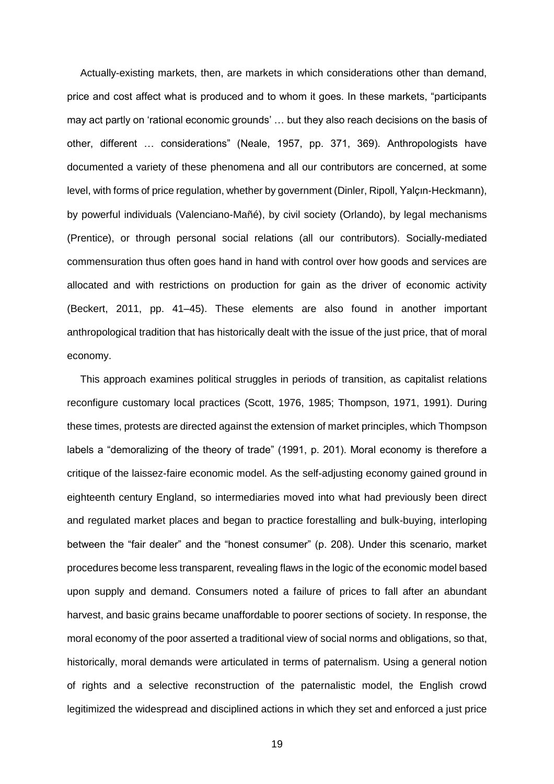Actually-existing markets, then, are markets in which considerations other than demand, price and cost affect what is produced and to whom it goes. In these markets, "participants may act partly on 'rational economic grounds' … but they also reach decisions on the basis of other, different … considerations" (Neale, 1957, pp. 371, 369). Anthropologists have documented a variety of these phenomena and all our contributors are concerned, at some level, with forms of price regulation, whether by government (Dinler, Ripoll, Yalçın-Heckmann), by powerful individuals (Valenciano-Mañé), by civil society (Orlando), by legal mechanisms (Prentice), or through personal social relations (all our contributors). Socially-mediated commensuration thus often goes hand in hand with control over how goods and services are allocated and with restrictions on production for gain as the driver of economic activity (Beckert, 2011, pp. 41–45). These elements are also found in another important anthropological tradition that has historically dealt with the issue of the just price, that of moral economy.

This approach examines political struggles in periods of transition, as capitalist relations reconfigure customary local practices (Scott, 1976, 1985; Thompson, 1971, 1991). During these times, protests are directed against the extension of market principles, which Thompson labels a "demoralizing of the theory of trade" (1991, p. 201). Moral economy is therefore a critique of the laissez-faire economic model. As the self-adjusting economy gained ground in eighteenth century England, so intermediaries moved into what had previously been direct and regulated market places and began to practice forestalling and bulk-buying, interloping between the "fair dealer" and the "honest consumer" (p. 208). Under this scenario, market procedures become less transparent, revealing flaws in the logic of the economic model based upon supply and demand. Consumers noted a failure of prices to fall after an abundant harvest, and basic grains became unaffordable to poorer sections of society. In response, the moral economy of the poor asserted a traditional view of social norms and obligations, so that, historically, moral demands were articulated in terms of paternalism. Using a general notion of rights and a selective reconstruction of the paternalistic model, the English crowd legitimized the widespread and disciplined actions in which they set and enforced a just price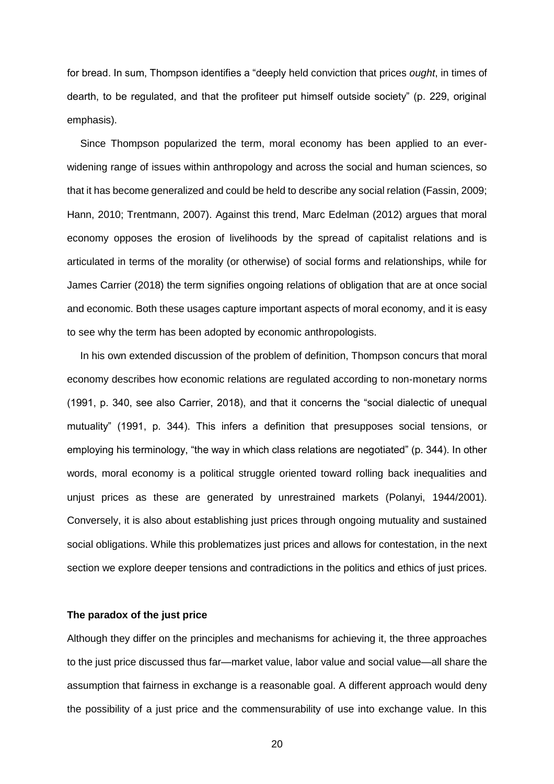for bread. In sum, Thompson identifies a "deeply held conviction that prices *ought*, in times of dearth, to be regulated, and that the profiteer put himself outside society" (p. 229, original emphasis).

Since Thompson popularized the term, moral economy has been applied to an everwidening range of issues within anthropology and across the social and human sciences, so that it has become generalized and could be held to describe any social relation (Fassin, 2009; Hann, 2010; Trentmann, 2007). Against this trend, Marc Edelman (2012) argues that moral economy opposes the erosion of livelihoods by the spread of capitalist relations and is articulated in terms of the morality (or otherwise) of social forms and relationships, while for James Carrier (2018) the term signifies ongoing relations of obligation that are at once social and economic. Both these usages capture important aspects of moral economy, and it is easy to see why the term has been adopted by economic anthropologists.

In his own extended discussion of the problem of definition, Thompson concurs that moral economy describes how economic relations are regulated according to non-monetary norms (1991, p. 340, see also Carrier, 2018), and that it concerns the "social dialectic of unequal mutuality" (1991, p. 344). This infers a definition that presupposes social tensions, or employing his terminology, "the way in which class relations are negotiated" (p. 344). In other words, moral economy is a political struggle oriented toward rolling back inequalities and unjust prices as these are generated by unrestrained markets (Polanyi, 1944/2001). Conversely, it is also about establishing just prices through ongoing mutuality and sustained social obligations. While this problematizes just prices and allows for contestation, in the next section we explore deeper tensions and contradictions in the politics and ethics of just prices.

#### **The paradox of the just price**

Although they differ on the principles and mechanisms for achieving it, the three approaches to the just price discussed thus far—market value, labor value and social value—all share the assumption that fairness in exchange is a reasonable goal. A different approach would deny the possibility of a just price and the commensurability of use into exchange value. In this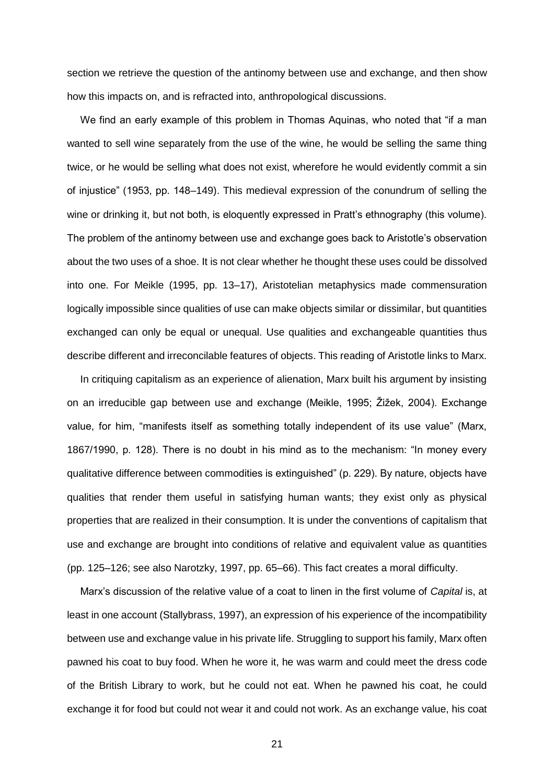section we retrieve the question of the antinomy between use and exchange, and then show how this impacts on, and is refracted into, anthropological discussions.

We find an early example of this problem in Thomas Aquinas, who noted that "if a man wanted to sell wine separately from the use of the wine, he would be selling the same thing twice, or he would be selling what does not exist, wherefore he would evidently commit a sin of injustice" (1953, pp. 148–149). This medieval expression of the conundrum of selling the wine or drinking it, but not both, is eloquently expressed in Pratt's ethnography (this volume). The problem of the antinomy between use and exchange goes back to Aristotle's observation about the two uses of a shoe. It is not clear whether he thought these uses could be dissolved into one. For Meikle (1995, pp. 13–17), Aristotelian metaphysics made commensuration logically impossible since qualities of use can make objects similar or dissimilar, but quantities exchanged can only be equal or unequal. Use qualities and exchangeable quantities thus describe different and irreconcilable features of objects. This reading of Aristotle links to Marx.

In critiquing capitalism as an experience of alienation, Marx built his argument by insisting on an irreducible gap between use and exchange (Meikle, 1995; Žižek, 2004). Exchange value, for him, "manifests itself as something totally independent of its use value" (Marx, 1867/1990, p. 128). There is no doubt in his mind as to the mechanism: "In money every qualitative difference between commodities is extinguished" (p. 229). By nature, objects have qualities that render them useful in satisfying human wants; they exist only as physical properties that are realized in their consumption. It is under the conventions of capitalism that use and exchange are brought into conditions of relative and equivalent value as quantities (pp. 125–126; see also Narotzky, 1997, pp. 65–66). This fact creates a moral difficulty.

Marx's discussion of the relative value of a coat to linen in the first volume of *Capital* is, at least in one account (Stallybrass, 1997), an expression of his experience of the incompatibility between use and exchange value in his private life. Struggling to support his family, Marx often pawned his coat to buy food. When he wore it, he was warm and could meet the dress code of the British Library to work, but he could not eat. When he pawned his coat, he could exchange it for food but could not wear it and could not work. As an exchange value, his coat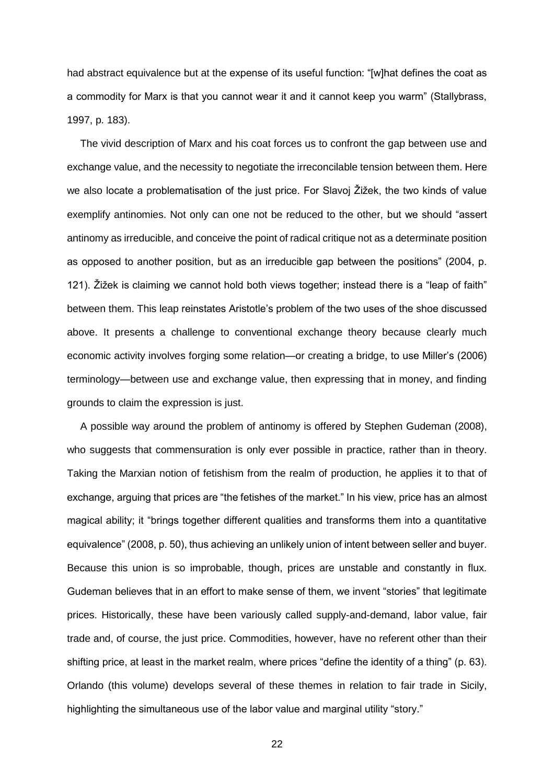had abstract equivalence but at the expense of its useful function: "[w]hat defines the coat as a commodity for Marx is that you cannot wear it and it cannot keep you warm" (Stallybrass, 1997, p. 183).

The vivid description of Marx and his coat forces us to confront the gap between use and exchange value, and the necessity to negotiate the irreconcilable tension between them. Here we also locate a problematisation of the just price. For Slavoj Žižek, the two kinds of value exemplify antinomies. Not only can one not be reduced to the other, but we should "assert antinomy as irreducible, and conceive the point of radical critique not as a determinate position as opposed to another position, but as an irreducible gap between the positions" (2004, p. 121). Žižek is claiming we cannot hold both views together; instead there is a "leap of faith" between them. This leap reinstates Aristotle's problem of the two uses of the shoe discussed above. It presents a challenge to conventional exchange theory because clearly much economic activity involves forging some relation—or creating a bridge, to use Miller's (2006) terminology—between use and exchange value, then expressing that in money, and finding grounds to claim the expression is just.

A possible way around the problem of antinomy is offered by Stephen Gudeman (2008), who suggests that commensuration is only ever possible in practice, rather than in theory. Taking the Marxian notion of fetishism from the realm of production, he applies it to that of exchange, arguing that prices are "the fetishes of the market." In his view, price has an almost magical ability; it "brings together different qualities and transforms them into a quantitative equivalence" (2008, p. 50), thus achieving an unlikely union of intent between seller and buyer. Because this union is so improbable, though, prices are unstable and constantly in flux. Gudeman believes that in an effort to make sense of them, we invent "stories" that legitimate prices. Historically, these have been variously called supply-and-demand, labor value, fair trade and, of course, the just price. Commodities, however, have no referent other than their shifting price, at least in the market realm, where prices "define the identity of a thing" (p. 63). Orlando (this volume) develops several of these themes in relation to fair trade in Sicily, highlighting the simultaneous use of the labor value and marginal utility "story."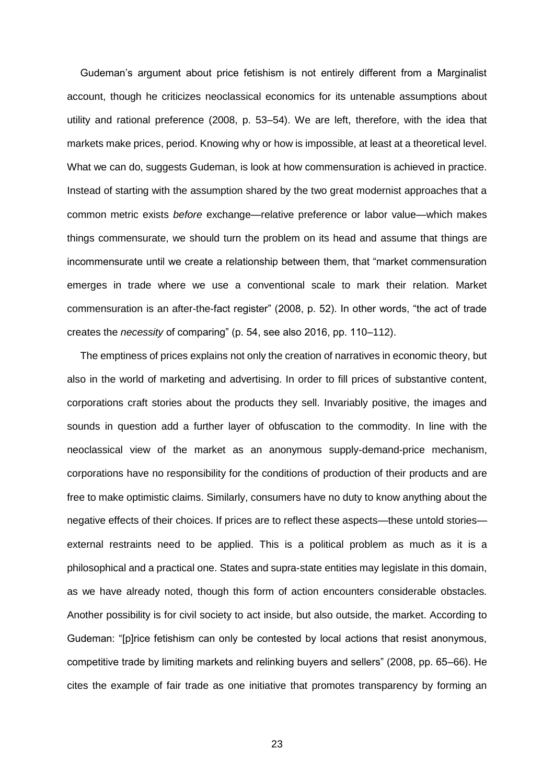Gudeman's argument about price fetishism is not entirely different from a Marginalist account, though he criticizes neoclassical economics for its untenable assumptions about utility and rational preference (2008, p. 53–54). We are left, therefore, with the idea that markets make prices, period. Knowing why or how is impossible, at least at a theoretical level. What we can do, suggests Gudeman, is look at how commensuration is achieved in practice. Instead of starting with the assumption shared by the two great modernist approaches that a common metric exists *before* exchange—relative preference or labor value—which makes things commensurate, we should turn the problem on its head and assume that things are incommensurate until we create a relationship between them, that "market commensuration emerges in trade where we use a conventional scale to mark their relation. Market commensuration is an after-the-fact register" (2008, p. 52). In other words, "the act of trade creates the *necessity* of comparing" (p. 54, see also 2016, pp. 110–112).

The emptiness of prices explains not only the creation of narratives in economic theory, but also in the world of marketing and advertising. In order to fill prices of substantive content, corporations craft stories about the products they sell. Invariably positive, the images and sounds in question add a further layer of obfuscation to the commodity. In line with the neoclassical view of the market as an anonymous supply-demand-price mechanism, corporations have no responsibility for the conditions of production of their products and are free to make optimistic claims. Similarly, consumers have no duty to know anything about the negative effects of their choices. If prices are to reflect these aspects—these untold stories external restraints need to be applied. This is a political problem as much as it is a philosophical and a practical one. States and supra-state entities may legislate in this domain, as we have already noted, though this form of action encounters considerable obstacles. Another possibility is for civil society to act inside, but also outside, the market. According to Gudeman: "[p]rice fetishism can only be contested by local actions that resist anonymous, competitive trade by limiting markets and relinking buyers and sellers" (2008, pp. 65–66). He cites the example of fair trade as one initiative that promotes transparency by forming an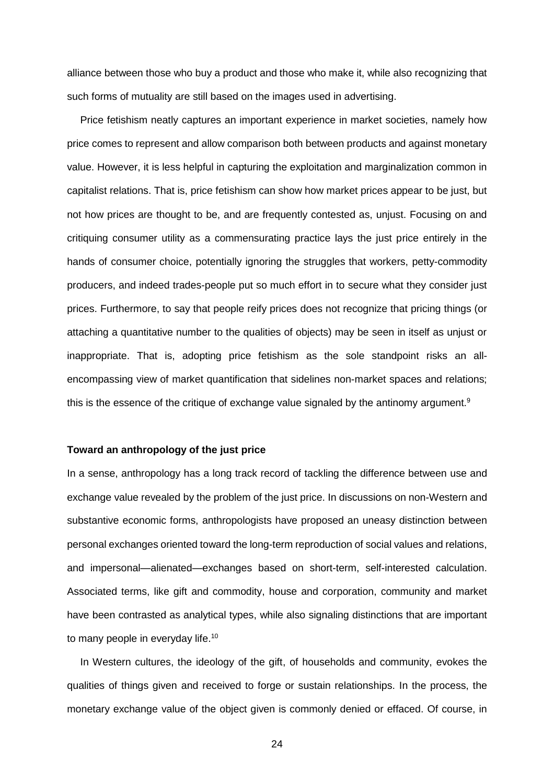alliance between those who buy a product and those who make it, while also recognizing that such forms of mutuality are still based on the images used in advertising.

Price fetishism neatly captures an important experience in market societies, namely how price comes to represent and allow comparison both between products and against monetary value. However, it is less helpful in capturing the exploitation and marginalization common in capitalist relations. That is, price fetishism can show how market prices appear to be just, but not how prices are thought to be, and are frequently contested as, unjust. Focusing on and critiquing consumer utility as a commensurating practice lays the just price entirely in the hands of consumer choice, potentially ignoring the struggles that workers, petty-commodity producers, and indeed trades-people put so much effort in to secure what they consider just prices. Furthermore, to say that people reify prices does not recognize that pricing things (or attaching a quantitative number to the qualities of objects) may be seen in itself as unjust or inappropriate. That is, adopting price fetishism as the sole standpoint risks an allencompassing view of market quantification that sidelines non-market spaces and relations; this is the essence of the critique of exchange value signaled by the antinomy argument.<sup>9</sup>

#### **Toward an anthropology of the just price**

In a sense, anthropology has a long track record of tackling the difference between use and exchange value revealed by the problem of the just price. In discussions on non-Western and substantive economic forms, anthropologists have proposed an uneasy distinction between personal exchanges oriented toward the long-term reproduction of social values and relations, and impersonal—alienated—exchanges based on short-term, self-interested calculation. Associated terms, like gift and commodity, house and corporation, community and market have been contrasted as analytical types, while also signaling distinctions that are important to many people in everyday life.<sup>10</sup>

In Western cultures, the ideology of the gift, of households and community, evokes the qualities of things given and received to forge or sustain relationships. In the process, the monetary exchange value of the object given is commonly denied or effaced. Of course, in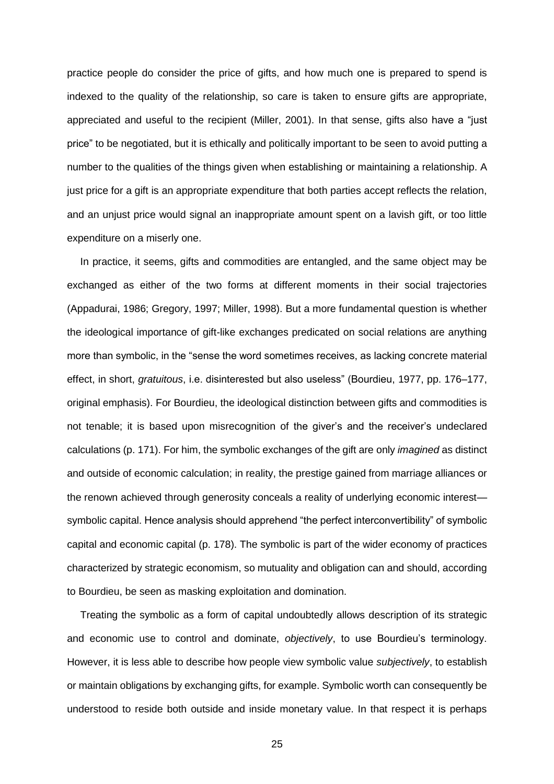practice people do consider the price of gifts, and how much one is prepared to spend is indexed to the quality of the relationship, so care is taken to ensure gifts are appropriate, appreciated and useful to the recipient (Miller, 2001). In that sense, gifts also have a "just price" to be negotiated, but it is ethically and politically important to be seen to avoid putting a number to the qualities of the things given when establishing or maintaining a relationship. A just price for a gift is an appropriate expenditure that both parties accept reflects the relation, and an unjust price would signal an inappropriate amount spent on a lavish gift, or too little expenditure on a miserly one.

In practice, it seems, gifts and commodities are entangled, and the same object may be exchanged as either of the two forms at different moments in their social trajectories (Appadurai, 1986; Gregory, 1997; Miller, 1998). But a more fundamental question is whether the ideological importance of gift-like exchanges predicated on social relations are anything more than symbolic, in the "sense the word sometimes receives, as lacking concrete material effect, in short, *gratuitous*, i.e. disinterested but also useless" (Bourdieu, 1977, pp. 176–177, original emphasis). For Bourdieu, the ideological distinction between gifts and commodities is not tenable; it is based upon misrecognition of the giver's and the receiver's undeclared calculations (p. 171). For him, the symbolic exchanges of the gift are only *imagined* as distinct and outside of economic calculation; in reality, the prestige gained from marriage alliances or the renown achieved through generosity conceals a reality of underlying economic interest symbolic capital. Hence analysis should apprehend "the perfect interconvertibility" of symbolic capital and economic capital (p. 178). The symbolic is part of the wider economy of practices characterized by strategic economism, so mutuality and obligation can and should, according to Bourdieu, be seen as masking exploitation and domination.

Treating the symbolic as a form of capital undoubtedly allows description of its strategic and economic use to control and dominate, *objectively*, to use Bourdieu's terminology. However, it is less able to describe how people view symbolic value *subjectively*, to establish or maintain obligations by exchanging gifts, for example. Symbolic worth can consequently be understood to reside both outside and inside monetary value. In that respect it is perhaps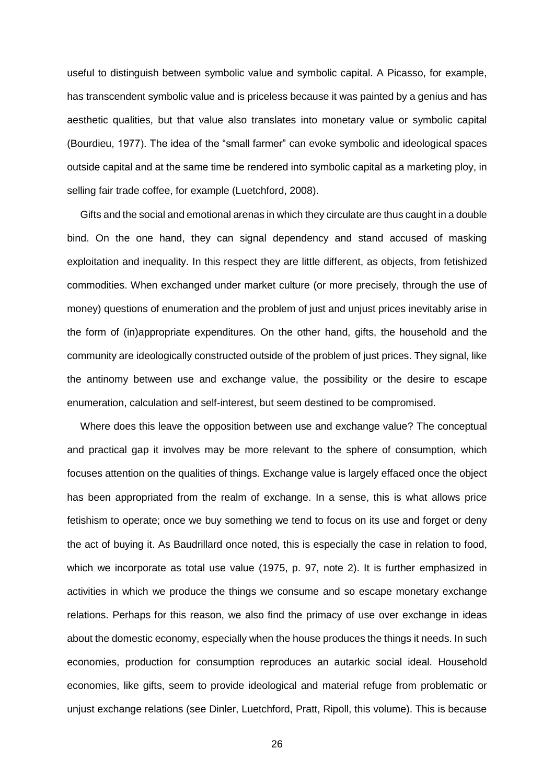useful to distinguish between symbolic value and symbolic capital. A Picasso, for example, has transcendent symbolic value and is priceless because it was painted by a genius and has aesthetic qualities, but that value also translates into monetary value or symbolic capital (Bourdieu, 1977). The idea of the "small farmer" can evoke symbolic and ideological spaces outside capital and at the same time be rendered into symbolic capital as a marketing ploy, in selling fair trade coffee, for example (Luetchford, 2008).

Gifts and the social and emotional arenas in which they circulate are thus caught in a double bind. On the one hand, they can signal dependency and stand accused of masking exploitation and inequality. In this respect they are little different, as objects, from fetishized commodities. When exchanged under market culture (or more precisely, through the use of money) questions of enumeration and the problem of just and unjust prices inevitably arise in the form of (in)appropriate expenditures. On the other hand, gifts, the household and the community are ideologically constructed outside of the problem of just prices. They signal, like the antinomy between use and exchange value, the possibility or the desire to escape enumeration, calculation and self-interest, but seem destined to be compromised.

Where does this leave the opposition between use and exchange value? The conceptual and practical gap it involves may be more relevant to the sphere of consumption, which focuses attention on the qualities of things. Exchange value is largely effaced once the object has been appropriated from the realm of exchange. In a sense, this is what allows price fetishism to operate; once we buy something we tend to focus on its use and forget or deny the act of buying it. As Baudrillard once noted, this is especially the case in relation to food, which we incorporate as total use value (1975, p. 97, note 2). It is further emphasized in activities in which we produce the things we consume and so escape monetary exchange relations. Perhaps for this reason, we also find the primacy of use over exchange in ideas about the domestic economy, especially when the house produces the things it needs. In such economies, production for consumption reproduces an autarkic social ideal. Household economies, like gifts, seem to provide ideological and material refuge from problematic or unjust exchange relations (see Dinler, Luetchford, Pratt, Ripoll, this volume). This is because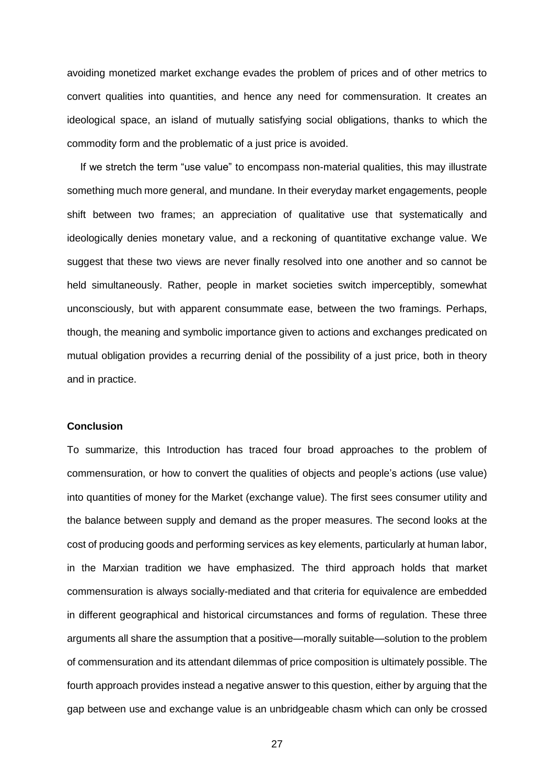avoiding monetized market exchange evades the problem of prices and of other metrics to convert qualities into quantities, and hence any need for commensuration. It creates an ideological space, an island of mutually satisfying social obligations, thanks to which the commodity form and the problematic of a just price is avoided.

If we stretch the term "use value" to encompass non-material qualities, this may illustrate something much more general, and mundane. In their everyday market engagements, people shift between two frames; an appreciation of qualitative use that systematically and ideologically denies monetary value, and a reckoning of quantitative exchange value. We suggest that these two views are never finally resolved into one another and so cannot be held simultaneously. Rather, people in market societies switch imperceptibly, somewhat unconsciously, but with apparent consummate ease, between the two framings. Perhaps, though, the meaning and symbolic importance given to actions and exchanges predicated on mutual obligation provides a recurring denial of the possibility of a just price, both in theory and in practice.

#### **Conclusion**

To summarize, this Introduction has traced four broad approaches to the problem of commensuration, or how to convert the qualities of objects and people's actions (use value) into quantities of money for the Market (exchange value). The first sees consumer utility and the balance between supply and demand as the proper measures. The second looks at the cost of producing goods and performing services as key elements, particularly at human labor, in the Marxian tradition we have emphasized. The third approach holds that market commensuration is always socially-mediated and that criteria for equivalence are embedded in different geographical and historical circumstances and forms of regulation. These three arguments all share the assumption that a positive—morally suitable—solution to the problem of commensuration and its attendant dilemmas of price composition is ultimately possible. The fourth approach provides instead a negative answer to this question, either by arguing that the gap between use and exchange value is an unbridgeable chasm which can only be crossed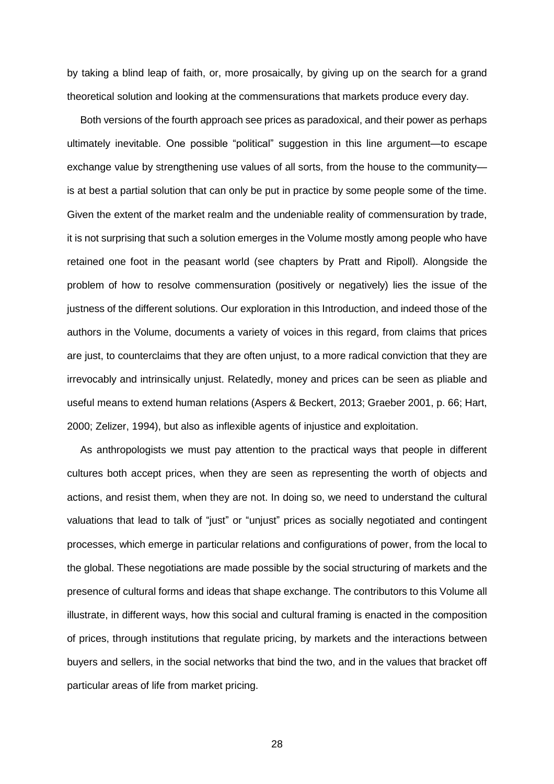by taking a blind leap of faith, or, more prosaically, by giving up on the search for a grand theoretical solution and looking at the commensurations that markets produce every day.

Both versions of the fourth approach see prices as paradoxical, and their power as perhaps ultimately inevitable. One possible "political" suggestion in this line argument—to escape exchange value by strengthening use values of all sorts, from the house to the community is at best a partial solution that can only be put in practice by some people some of the time. Given the extent of the market realm and the undeniable reality of commensuration by trade, it is not surprising that such a solution emerges in the Volume mostly among people who have retained one foot in the peasant world (see chapters by Pratt and Ripoll). Alongside the problem of how to resolve commensuration (positively or negatively) lies the issue of the justness of the different solutions. Our exploration in this Introduction, and indeed those of the authors in the Volume, documents a variety of voices in this regard, from claims that prices are just, to counterclaims that they are often unjust, to a more radical conviction that they are irrevocably and intrinsically unjust. Relatedly, money and prices can be seen as pliable and useful means to extend human relations (Aspers & Beckert, 2013; Graeber 2001, p. 66; Hart, 2000; Zelizer, 1994), but also as inflexible agents of injustice and exploitation.

As anthropologists we must pay attention to the practical ways that people in different cultures both accept prices, when they are seen as representing the worth of objects and actions, and resist them, when they are not. In doing so, we need to understand the cultural valuations that lead to talk of "just" or "unjust" prices as socially negotiated and contingent processes, which emerge in particular relations and configurations of power, from the local to the global. These negotiations are made possible by the social structuring of markets and the presence of cultural forms and ideas that shape exchange. The contributors to this Volume all illustrate, in different ways, how this social and cultural framing is enacted in the composition of prices, through institutions that regulate pricing, by markets and the interactions between buyers and sellers, in the social networks that bind the two, and in the values that bracket off particular areas of life from market pricing.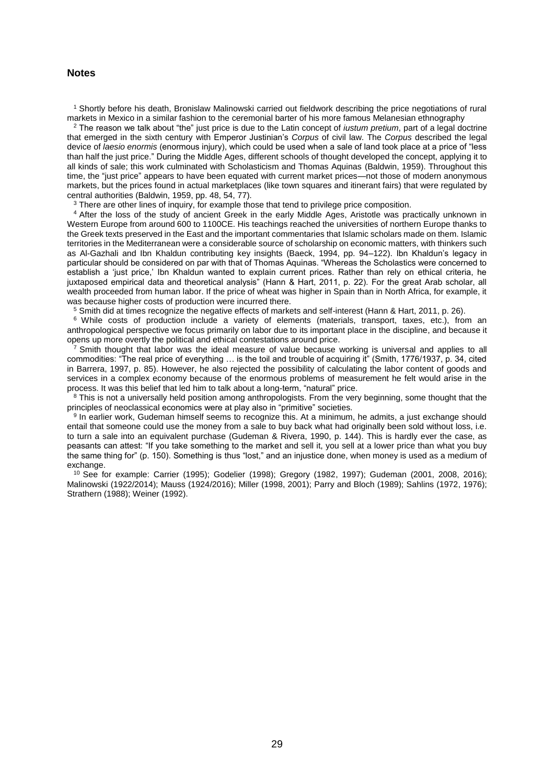#### **Notes**

<sup>1</sup> Shortly before his death, Bronislaw Malinowski carried out fieldwork describing the price negotiations of rural markets in Mexico in a similar fashion to the ceremonial barter of his more famous Melanesian ethnography

<sup>2</sup> The reason we talk about "the" just price is due to the Latin concept of *iustum pretium*, part of a legal doctrine that emerged in the sixth century with Emperor Justinian's *Corpus* of civil law. The *Corpus* described the legal device of *laesio enormis* (enormous injury), which could be used when a sale of land took place at a price of "less than half the just price." During the Middle Ages, different schools of thought developed the concept, applying it to all kinds of sale; this work culminated with Scholasticism and Thomas Aquinas (Baldwin, 1959). Throughout this time, the "just price" appears to have been equated with current market prices—not those of modern anonymous markets, but the prices found in actual marketplaces (like town squares and itinerant fairs) that were regulated by central authorities (Baldwin, 1959, pp. 48, 54, 77).

<sup>3</sup> There are other lines of inquiry, for example those that tend to privilege price composition.

<sup>4</sup> After the loss of the study of ancient Greek in the early Middle Ages, Aristotle was practically unknown in Western Europe from around 600 to 1100CE. His teachings reached the universities of northern Europe thanks to the Greek texts preserved in the East and the important commentaries that Islamic scholars made on them. Islamic territories in the Mediterranean were a considerable source of scholarship on economic matters, with thinkers such as Al-Gazhali and Ibn Khaldun contributing key insights (Baeck, 1994, pp. 94–122). Ibn Khaldun's legacy in particular should be considered on par with that of Thomas Aquinas. "Whereas the Scholastics were concerned to establish a 'just price,' Ibn Khaldun wanted to explain current prices. Rather than rely on ethical criteria, he juxtaposed empirical data and theoretical analysis" (Hann & Hart, 2011, p. 22). For the great Arab scholar, all wealth proceeded from human labor. If the price of wheat was higher in Spain than in North Africa, for example, it was because higher costs of production were incurred there.

<sup>5</sup> Smith did at times recognize the negative effects of markets and self-interest (Hann & Hart, 2011, p. 26).

<sup>6</sup> While costs of production include a variety of elements (materials, transport, taxes, etc.), from an anthropological perspective we focus primarily on labor due to its important place in the discipline, and because it opens up more overtly the political and ethical contestations around price.

 $7$  Smith thought that labor was the ideal measure of value because working is universal and applies to all commodities: "The real price of everything … is the toil and trouble of acquiring it" (Smith, 1776/1937, p. 34, cited in Barrera, 1997, p. 85). However, he also rejected the possibility of calculating the labor content of goods and services in a complex economy because of the enormous problems of measurement he felt would arise in the process. It was this belief that led him to talk about a long-term, "natural" price.

<sup>8</sup> This is not a universally held position among anthropologists. From the very beginning, some thought that the principles of neoclassical economics were at play also in "primitive" societies.

<sup>9</sup> In earlier work, Gudeman himself seems to recognize this. At a minimum, he admits, a just exchange should entail that someone could use the money from a sale to buy back what had originally been sold without loss, i.e. to turn a sale into an equivalent purchase (Gudeman & Rivera, 1990, p. 144). This is hardly ever the case, as peasants can attest: "If you take something to the market and sell it, you sell at a lower price than what you buy the same thing for" (p. 150). Something is thus "lost," and an injustice done, when money is used as a medium of exchange.

<sup>10</sup> See for example: Carrier (1995); Godelier (1998); Gregory (1982, 1997); Gudeman (2001, 2008, 2016); Malinowski (1922/2014); Mauss (1924/2016); Miller (1998, 2001); Parry and Bloch (1989); Sahlins (1972, 1976); Strathern (1988); Weiner (1992).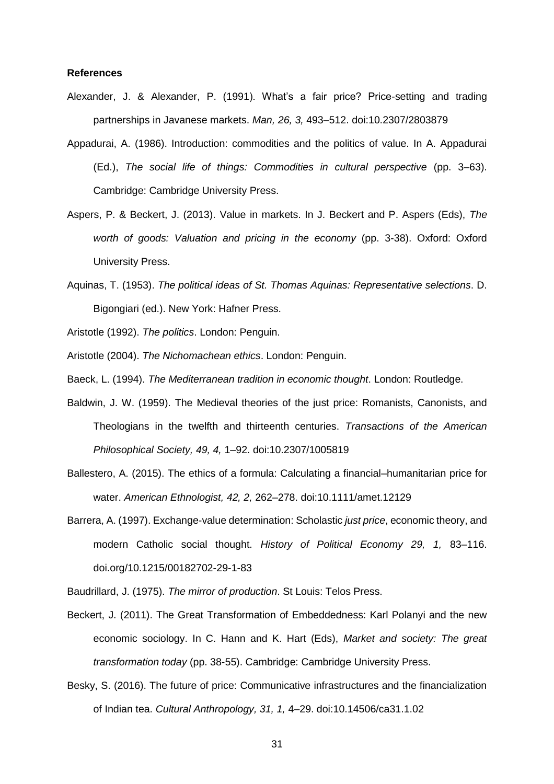#### **References**

- Alexander, J. & Alexander, P. (1991). What's a fair price? Price-setting and trading partnerships in Javanese markets. *Man, 26, 3,* 493–512. doi:10.2307/2803879
- Appadurai, A. (1986). Introduction: commodities and the politics of value. In A. Appadurai (Ed.), *The social life of things: Commodities in cultural perspective* (pp. 3–63). Cambridge: Cambridge University Press.
- Aspers, P. & Beckert, J. (2013). Value in markets. In J. Beckert and P. Aspers (Eds), *The worth of goods: Valuation and pricing in the economy* (pp. 3-38). Oxford: Oxford University Press.
- Aquinas, T. (1953). *The political ideas of St. Thomas Aquinas: Representative selections*. D. Bigongiari (ed.). New York: Hafner Press.
- Aristotle (1992). *The politics*. London: Penguin.
- Aristotle (2004). *The Nichomachean ethics*. London: Penguin.
- Baeck, L. (1994). *The Mediterranean tradition in economic thought*. London: Routledge.
- Baldwin, J. W. (1959). The Medieval theories of the just price: Romanists, Canonists, and Theologians in the twelfth and thirteenth centuries. *Transactions of the American Philosophical Society, 49, 4,* 1–92. doi:10.2307/1005819
- Ballestero, A. (2015). The ethics of a formula: Calculating a financial–humanitarian price for water. *American Ethnologist, 42, 2,* 262–278. doi:10.1111/amet.12129
- Barrera, A. (1997). Exchange-value determination: Scholastic *just price*, economic theory, and modern Catholic social thought. *History of Political Economy 29, 1,* 83–116. doi.org/10.1215/00182702-29-1-83
- Baudrillard, J. (1975). *The mirror of production*. St Louis: Telos Press.
- Beckert, J. (2011). The Great Transformation of Embeddedness: Karl Polanyi and the new economic sociology. In C. Hann and K. Hart (Eds), *Market and society: The great transformation today* (pp. 38-55). Cambridge: Cambridge University Press.
- Besky, S. (2016). The future of price: Communicative infrastructures and the financialization of Indian tea. *Cultural Anthropology, 31, 1,* 4–29. doi:10.14506/ca31.1.02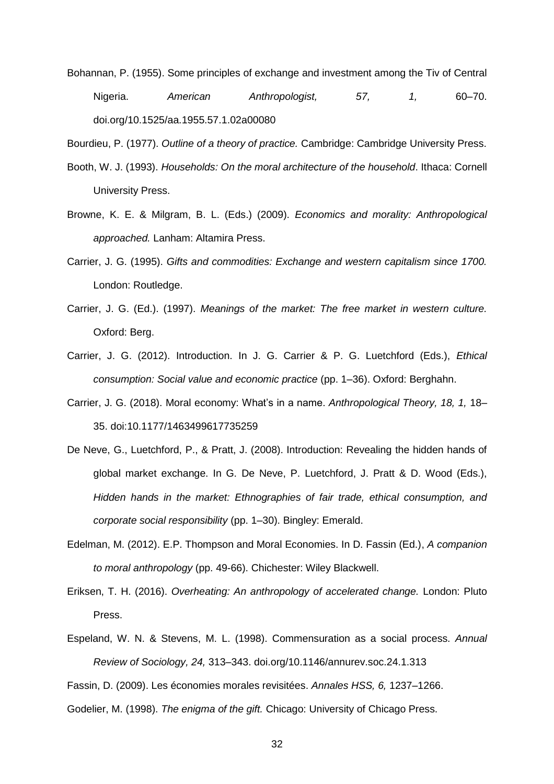- Bohannan, P. (1955). Some principles of exchange and investment among the Tiv of Central Nigeria. *American Anthropologist, 57, 1,* 60–70. doi.org/10.1525/aa.1955.57.1.02a00080
- Bourdieu, P. (1977). *Outline of a theory of practice.* Cambridge: Cambridge University Press.
- Booth, W. J. (1993). *Households: On the moral architecture of the household*. Ithaca: Cornell University Press.
- Browne, K. E. & Milgram, B. L. (Eds.) (2009). *Economics and morality: Anthropological approached.* Lanham: Altamira Press.
- Carrier, J. G. (1995). *Gifts and commodities: Exchange and western capitalism since 1700.*  London: Routledge.
- Carrier, J. G. (Ed.). (1997). *Meanings of the market: The free market in western culture.* Oxford: Berg.
- Carrier, J. G. (2012). Introduction. In J. G. Carrier & P. G. Luetchford (Eds.), *Ethical consumption: Social value and economic practice* (pp. 1–36). Oxford: Berghahn.
- Carrier, J. G. (2018). Moral economy: What's in a name. *Anthropological Theory, 18, 1,* 18– 35. doi:10.1177/1463499617735259
- De Neve, G., Luetchford, P., & Pratt, J. (2008). Introduction: Revealing the hidden hands of global market exchange. In G. De Neve, P. Luetchford, J. Pratt & D. Wood (Eds.), *Hidden hands in the market: Ethnographies of fair trade, ethical consumption, and corporate social responsibility* (pp. 1–30). Bingley: Emerald.
- Edelman, M. (2012). E.P. Thompson and Moral Economies. In D. Fassin (Ed.), *A companion to moral anthropology* (pp. 49-66). Chichester: Wiley Blackwell.
- Eriksen, T. H. (2016). *Overheating: An anthropology of accelerated change.* London: Pluto Press.
- Espeland, W. N. & Stevens, M. L. (1998). Commensuration as a social process. *Annual Review of Sociology, 24,* 313–343. doi.org/10.1146/annurev.soc.24.1.313
- Fassin, D. (2009). Les économies morales revisitées. *Annales HSS, 6,* 1237–1266.
- Godelier, M. (1998). *The enigma of the gift.* Chicago: University of Chicago Press.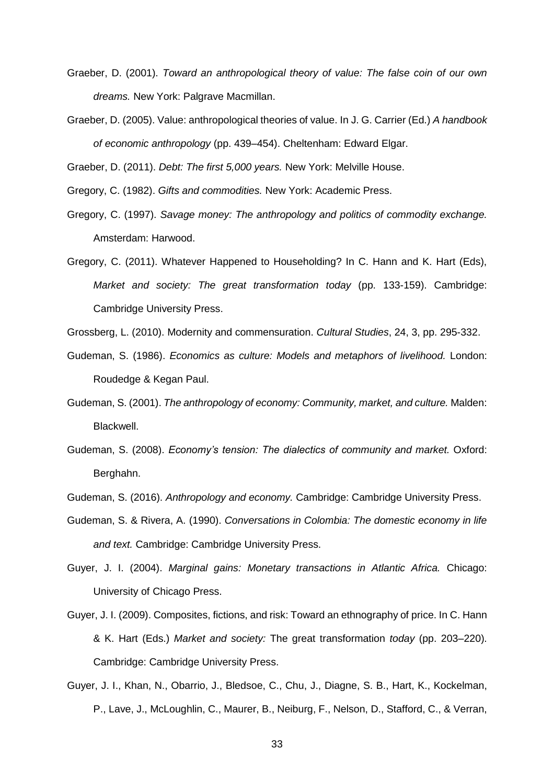- Graeber, D. (2001). *Toward an anthropological theory of value: The false coin of our own dreams.* New York: Palgrave Macmillan.
- Graeber, D. (2005). Value: anthropological theories of value. In J. G. Carrier (Ed.) *A handbook of economic anthropology* (pp. 439–454). Cheltenham: Edward Elgar.

Graeber, D. (2011). *Debt: The first 5,000 years.* New York: Melville House.

- Gregory, C. (1982). *Gifts and commodities.* New York: Academic Press.
- Gregory, C. (1997). *Savage money: The anthropology and politics of commodity exchange.*  Amsterdam: Harwood.
- Gregory, C. (2011). Whatever Happened to Householding? In C. Hann and K. Hart (Eds), *Market and society: The great transformation today* (pp. 133-159). Cambridge: Cambridge University Press.
- Grossberg, L. (2010). Modernity and commensuration. *Cultural Studies*, 24, 3, pp. 295-332.
- Gudeman, S. (1986). *Economics as culture: Models and metaphors of livelihood.* London: Roudedge & Kegan Paul.
- Gudeman, S. (2001). *The anthropology of economy: Community, market, and culture.* Malden: Blackwell.
- Gudeman, S. (2008). *Economy's tension: The dialectics of community and market.* Oxford: Berghahn.
- Gudeman, S. (2016). *Anthropology and economy.* Cambridge: Cambridge University Press.
- Gudeman, S. & Rivera, A. (1990). *Conversations in Colombia: The domestic economy in life and text.* Cambridge: Cambridge University Press.
- Guyer, J. I. (2004). *Marginal gains: Monetary transactions in Atlantic Africa.* Chicago: University of Chicago Press.
- Guyer, J. I. (2009). Composites, fictions, and risk: Toward an ethnography of price. In C. Hann & K. Hart (Eds.) *Market and society:* The great transformation *today* (pp. 203–220). Cambridge: Cambridge University Press.
- Guyer, J. I., Khan, N., Obarrio, J., Bledsoe, C., Chu, J., Diagne, S. B., Hart, K., Kockelman, P., Lave, J., McLoughlin, C., Maurer, B., Neiburg, F., Nelson, D., Stafford, C., & Verran,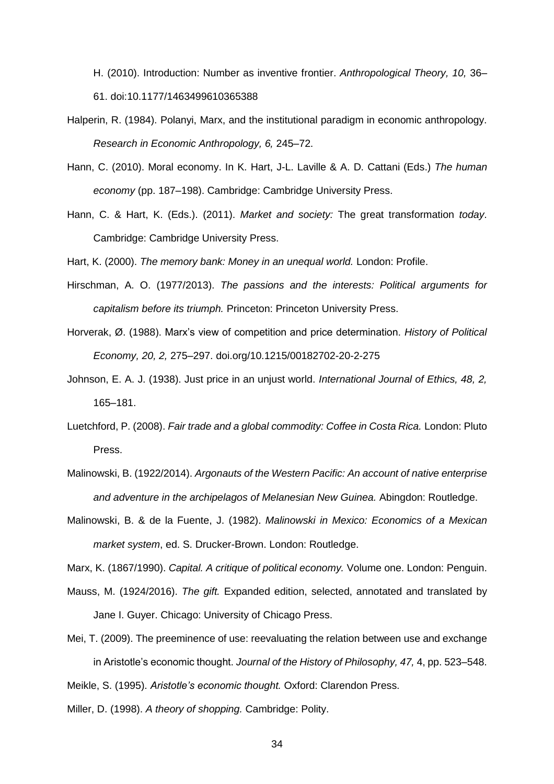H. (2010). Introduction: Number as inventive frontier. *Anthropological Theory, 10,* 36– 61. doi:10.1177/1463499610365388

- Halperin, R. (1984). Polanyi, Marx, and the institutional paradigm in economic anthropology. *Research in Economic Anthropology, 6,* 245–72.
- Hann, C. (2010). Moral economy. In K. Hart, J-L. Laville & A. D. Cattani (Eds.) *The human economy* (pp. 187–198). Cambridge: Cambridge University Press.
- Hann, C. & Hart, K. (Eds.). (2011). *Market and society:* The great transformation *today*. Cambridge: Cambridge University Press.
- Hart, K. (2000). *The memory bank: Money in an unequal world.* London: Profile.
- Hirschman, A. O. (1977/2013). *The passions and the interests: Political arguments for capitalism before its triumph.* Princeton: Princeton University Press.
- Horverak, Ø. (1988). Marx's view of competition and price determination. *History of Political Economy, 20, 2,* 275–297. doi.org/10.1215/00182702-20-2-275
- Johnson, E. A. J. (1938). Just price in an unjust world. *International Journal of Ethics, 48, 2,*  165–181.
- Luetchford, P. (2008). *Fair trade and a global commodity: Coffee in Costa Rica.* London: Pluto Press.
- Malinowski, B. (1922/2014). *Argonauts of the Western Pacific: An account of native enterprise and adventure in the archipelagos of Melanesian New Guinea.* Abingdon: Routledge.
- Malinowski, B. & de la Fuente, J. (1982). *Malinowski in Mexico: Economics of a Mexican market system*, ed. S. Drucker-Brown. London: Routledge.

Marx, K. (1867/1990). *Capital. A critique of political economy.* Volume one. London: Penguin.

- Mauss, M. (1924/2016). *The gift.* Expanded edition, selected, annotated and translated by Jane I. Guyer. Chicago: University of Chicago Press.
- Mei, T. (2009). The preeminence of use: reevaluating the relation between use and exchange in Aristotle's economic thought. *Journal of the History of Philosophy, 47,* 4, pp. 523–548.

Meikle, S. (1995). *Aristotle's economic thought.* Oxford: Clarendon Press.

Miller, D. (1998). *A theory of shopping.* Cambridge: Polity.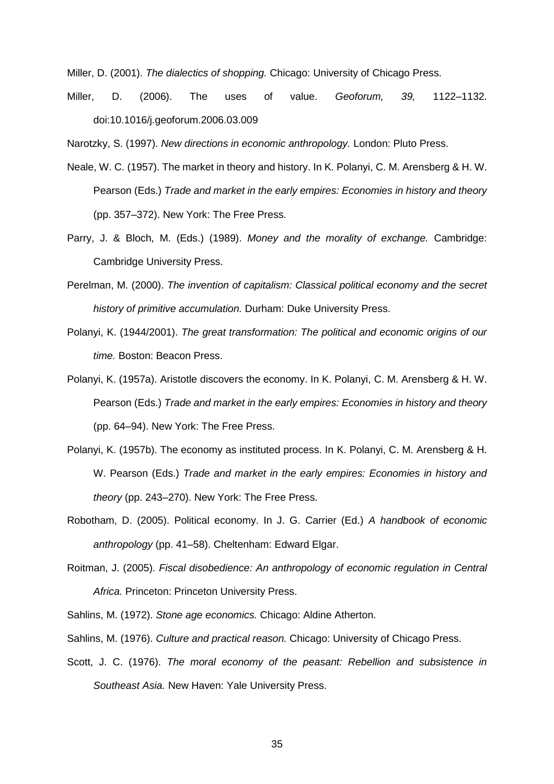Miller, D. (2001). *The dialectics of shopping.* Chicago: University of Chicago Press.

Miller, D. (2006). The uses of value. *Geoforum, 39,* 1122–1132. doi:10.1016/j.geoforum.2006.03.009

Narotzky, S. (1997). *New directions in economic anthropology.* London: Pluto Press.

- Neale, W. C. (1957). The market in theory and history. In K. Polanyi, C. M. Arensberg & H. W. Pearson (Eds.) *Trade and market in the early empires: Economies in history and theory* (pp. 357–372). New York: The Free Press.
- Parry, J. & Bloch, M. (Eds.) (1989). *Money and the morality of exchange.* Cambridge: Cambridge University Press.
- Perelman, M. (2000). *The invention of capitalism: Classical political economy and the secret history of primitive accumulation.* Durham: Duke University Press.
- Polanyi, K. (1944/2001). *The great transformation: The political and economic origins of our time.* Boston: Beacon Press.
- Polanyi, K. (1957a). Aristotle discovers the economy. In K. Polanyi, C. M. Arensberg & H. W. Pearson (Eds.) *Trade and market in the early empires: Economies in history and theory* (pp. 64–94). New York: The Free Press.
- Polanyi, K. (1957b). The economy as instituted process. In K. Polanyi, C. M. Arensberg & H. W. Pearson (Eds.) *Trade and market in the early empires: Economies in history and theory* (pp. 243–270). New York: The Free Press.
- Robotham, D. (2005). Political economy. In J. G. Carrier (Ed.) *A handbook of economic anthropology* (pp. 41–58). Cheltenham: Edward Elgar.
- Roitman, J. (2005). *Fiscal disobedience: An anthropology of economic regulation in Central Africa.* Princeton: Princeton University Press.
- Sahlins, M. (1972). *Stone age economics.* Chicago: Aldine Atherton.
- Sahlins, M. (1976). *Culture and practical reason.* Chicago: University of Chicago Press.
- Scott, J. C. (1976). *The moral economy of the peasant: Rebellion and subsistence in Southeast Asia.* New Haven: Yale University Press.